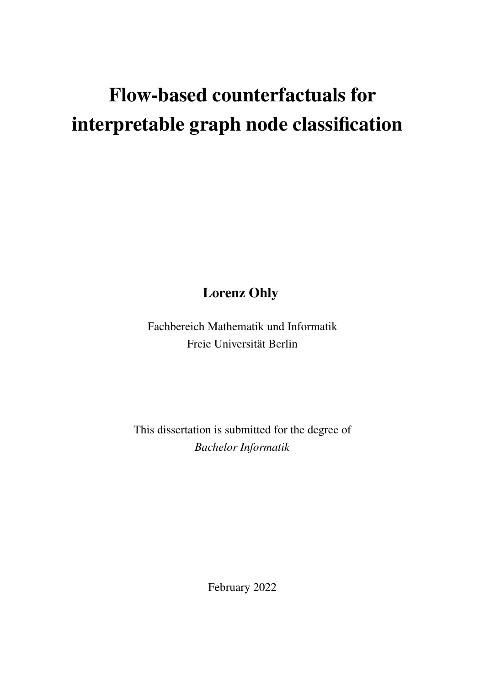# Flow-based counterfactuals for interpretable graph node classification

Lorenz Ohly

Fachbereich Mathematik und Informatik Freie Universität Berlin

This dissertation is submitted for the degree of *Bachelor Informatik*

February 2022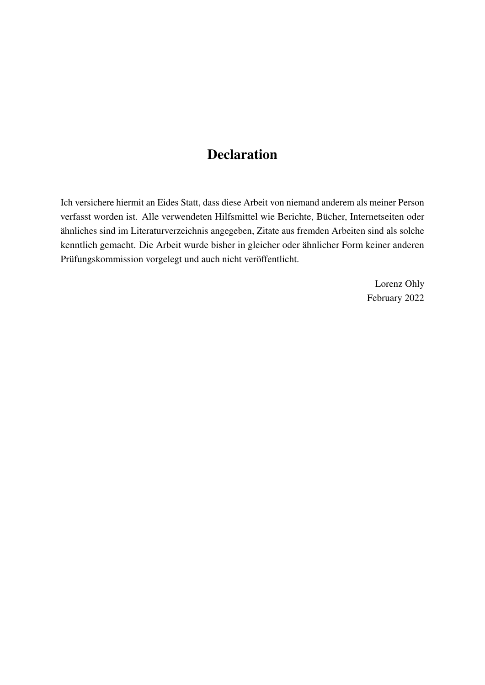## Declaration

Ich versichere hiermit an Eides Statt, dass diese Arbeit von niemand anderem als meiner Person verfasst worden ist. Alle verwendeten Hilfsmittel wie Berichte, Bücher, Internetseiten oder ähnliches sind im Literaturverzeichnis angegeben, Zitate aus fremden Arbeiten sind als solche kenntlich gemacht. Die Arbeit wurde bisher in gleicher oder ähnlicher Form keiner anderen Prüfungskommission vorgelegt und auch nicht veröffentlicht.

> Lorenz Ohly February 2022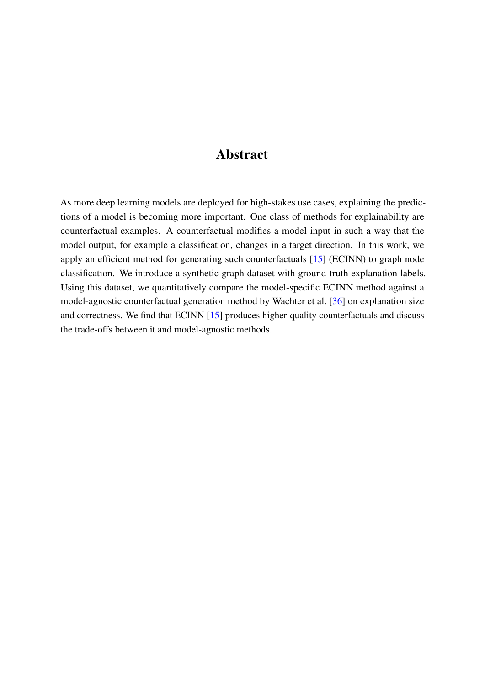### Abstract

As more deep learning models are deployed for high-stakes use cases, explaining the predictions of a model is becoming more important. One class of methods for explainability are counterfactual examples. A counterfactual modifies a model input in such a way that the model output, for example a classification, changes in a target direction. In this work, we apply an efficient method for generating such counterfactuals [\[15\]](#page-43-0) (ECINN) to graph node classification. We introduce a synthetic graph dataset with ground-truth explanation labels. Using this dataset, we quantitatively compare the model-specific ECINN method against a model-agnostic counterfactual generation method by Wachter et al. [\[36\]](#page-44-0) on explanation size and correctness. We find that ECINN [\[15\]](#page-43-0) produces higher-quality counterfactuals and discuss the trade-offs between it and model-agnostic methods.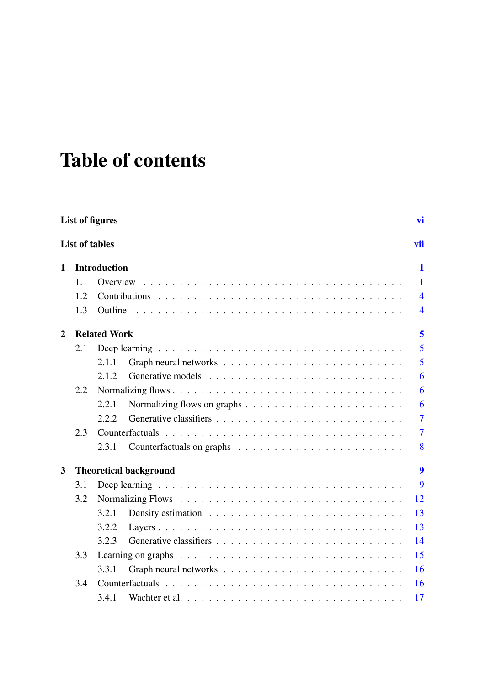# Table of contents

|                |                       | List of figures     |                                                                                            | vi             |
|----------------|-----------------------|---------------------|--------------------------------------------------------------------------------------------|----------------|
|                | <b>List of tables</b> |                     |                                                                                            | vii            |
| 1              |                       | <b>Introduction</b> |                                                                                            | 1              |
|                | 1.1                   | Overview            |                                                                                            | $\mathbf{1}$   |
|                | 1.2                   |                     |                                                                                            | $\overline{4}$ |
|                | 1.3                   | Outline             |                                                                                            | $\overline{4}$ |
| $\overline{2}$ |                       | <b>Related Work</b> |                                                                                            | 5              |
|                | 2.1                   |                     |                                                                                            | 5              |
|                |                       | 2.1.1               |                                                                                            | 5              |
|                |                       | 2.1.2               |                                                                                            | 6              |
|                | 2.2                   |                     |                                                                                            | 6              |
|                |                       | 2.2.1               |                                                                                            | 6              |
|                |                       | 2.2.2               |                                                                                            | $\overline{7}$ |
|                | 2.3                   |                     |                                                                                            | $\overline{7}$ |
|                |                       | 2.3.1               |                                                                                            | 8              |
| 3              |                       |                     | <b>Theoretical background</b>                                                              | 9              |
|                | 3.1                   |                     |                                                                                            | 9              |
|                | 3.2                   |                     |                                                                                            | 12             |
|                |                       | 3.2.1               |                                                                                            | 13             |
|                |                       | 3.2.2               |                                                                                            | 13             |
|                |                       | 3.2.3               |                                                                                            | 14             |
|                | 3.3                   |                     | Learning on graphs $\ldots \ldots \ldots \ldots \ldots \ldots \ldots \ldots \ldots \ldots$ | 15             |
|                |                       | 3.3.1               |                                                                                            | 16             |
|                | 3.4                   |                     |                                                                                            | 16             |
|                |                       | 3.4.1               |                                                                                            | 17             |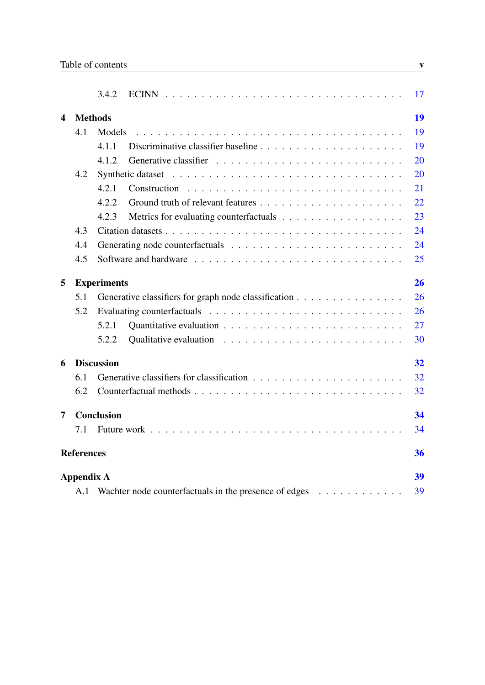|                |                   | 3.4.2              |                                                           | 17 |
|----------------|-------------------|--------------------|-----------------------------------------------------------|----|
| 4              | <b>Methods</b>    |                    |                                                           | 19 |
|                | 4.1               | Models             |                                                           | 19 |
|                |                   | 4.1.1              |                                                           | 19 |
|                |                   | 4.1.2              |                                                           | 20 |
|                | 4.2               |                    |                                                           | 20 |
|                |                   | 4.2.1              |                                                           | 21 |
|                |                   | 4.2.2              |                                                           | 22 |
|                |                   | 4.2.3              |                                                           | 23 |
|                | 4.3               |                    |                                                           | 24 |
|                | 4.4               |                    |                                                           | 24 |
|                | 4.5               |                    |                                                           | 25 |
| 5              |                   | <b>Experiments</b> |                                                           | 26 |
|                | 5.1               |                    | Generative classifiers for graph node classification      | 26 |
|                | 5.2               |                    |                                                           | 26 |
|                |                   | 5.2.1              |                                                           | 27 |
|                |                   | 5.2.2              |                                                           | 30 |
| 6              |                   | <b>Discussion</b>  |                                                           | 32 |
|                | 6.1               |                    |                                                           | 32 |
|                | 6.2               |                    |                                                           | 32 |
| $\overline{7}$ |                   | <b>Conclusion</b>  |                                                           | 34 |
|                | 7.1               |                    |                                                           | 34 |
|                | <b>References</b> |                    |                                                           | 36 |
|                | <b>Appendix A</b> |                    |                                                           | 39 |
|                |                   |                    | A.1 Wachter node counterfactuals in the presence of edges | 39 |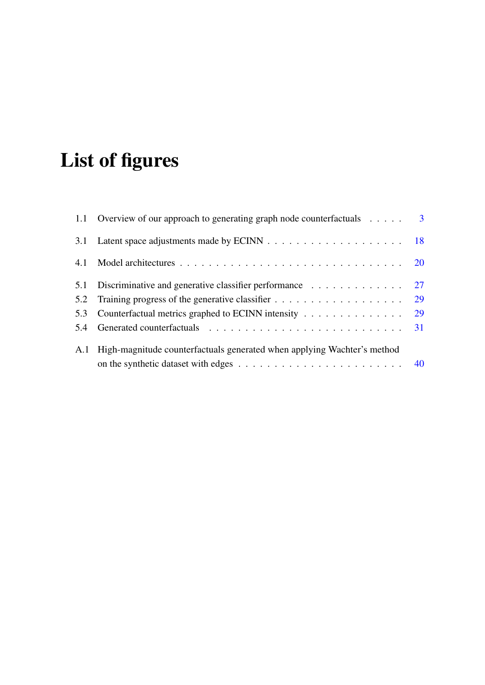# <span id="page-5-0"></span>List of figures

|     | 1.1 Overview of our approach to generating graph node counterfactuals $\ldots$ . |  |
|-----|----------------------------------------------------------------------------------|--|
|     |                                                                                  |  |
| 4.1 |                                                                                  |  |
|     | 5.1 Discriminative and generative classifier performance 27                      |  |
|     |                                                                                  |  |
|     | 5.3 Counterfactual metrics graphed to ECINN intensity 29                         |  |
|     |                                                                                  |  |
| A.1 | High-magnitude counterfactuals generated when applying Wachter's method          |  |
|     |                                                                                  |  |
|     |                                                                                  |  |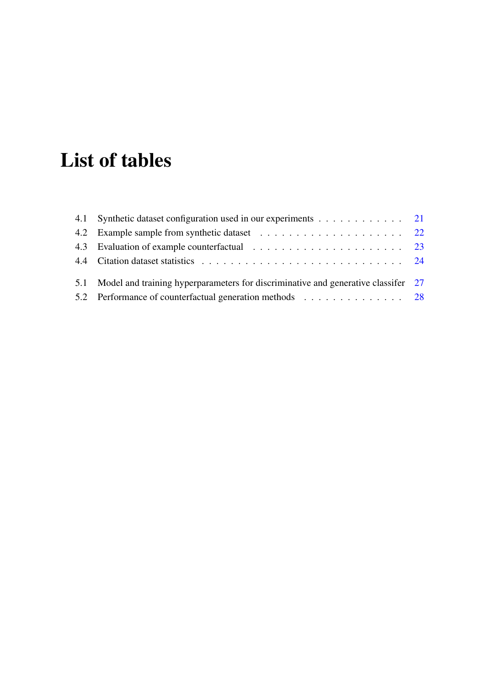# <span id="page-6-0"></span>List of tables

| 4.1 Synthetic dataset configuration used in our experiments 21                        |  |
|---------------------------------------------------------------------------------------|--|
|                                                                                       |  |
|                                                                                       |  |
|                                                                                       |  |
| 5.1 Model and training hyperparameters for discriminative and generative classifer 27 |  |
| 5.2 Performance of counterfactual generation methods 28                               |  |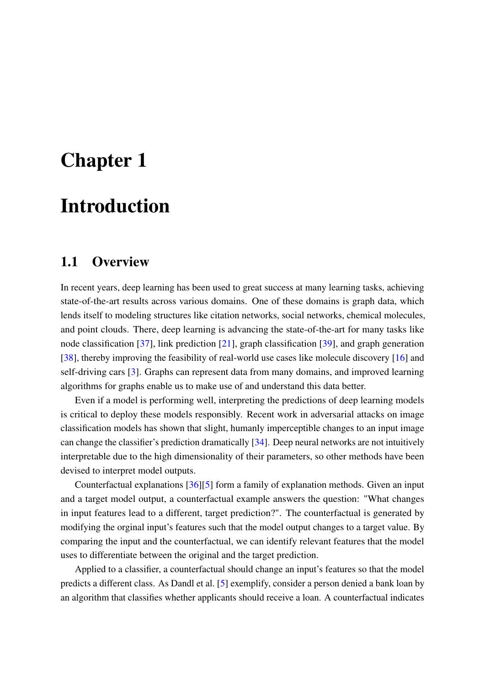## <span id="page-7-0"></span>Chapter 1

## Introduction

### <span id="page-7-1"></span>1.1 Overview

In recent years, deep learning has been used to great success at many learning tasks, achieving state-of-the-art results across various domains. One of these domains is graph data, which lends itself to modeling structures like citation networks, social networks, chemical molecules, and point clouds. There, deep learning is advancing the state-of-the-art for many tasks like node classification [\[37\]](#page-44-1), link prediction [\[21\]](#page-43-1), graph classification [\[39\]](#page-44-2), and graph generation [\[38\]](#page-44-3), thereby improving the feasibility of real-world use cases like molecule discovery [\[16\]](#page-43-2) and self-driving cars [\[3\]](#page-42-1). Graphs can represent data from many domains, and improved learning algorithms for graphs enable us to make use of and understand this data better.

Even if a model is performing well, interpreting the predictions of deep learning models is critical to deploy these models responsibly. Recent work in adversarial attacks on image classification models has shown that slight, humanly imperceptible changes to an input image can change the classifier's prediction dramatically [\[34\]](#page-44-4). Deep neural networks are not intuitively interpretable due to the high dimensionality of their parameters, so other methods have been devised to interpret model outputs.

Counterfactual explanations [\[36\]](#page-44-0)[\[5\]](#page-42-2) form a family of explanation methods. Given an input and a target model output, a counterfactual example answers the question: "What changes in input features lead to a different, target prediction?". The counterfactual is generated by modifying the orginal input's features such that the model output changes to a target value. By comparing the input and the counterfactual, we can identify relevant features that the model uses to differentiate between the original and the target prediction.

Applied to a classifier, a counterfactual should change an input's features so that the model predicts a different class. As Dandl et al. [\[5\]](#page-42-2) exemplify, consider a person denied a bank loan by an algorithm that classifies whether applicants should receive a loan. A counterfactual indicates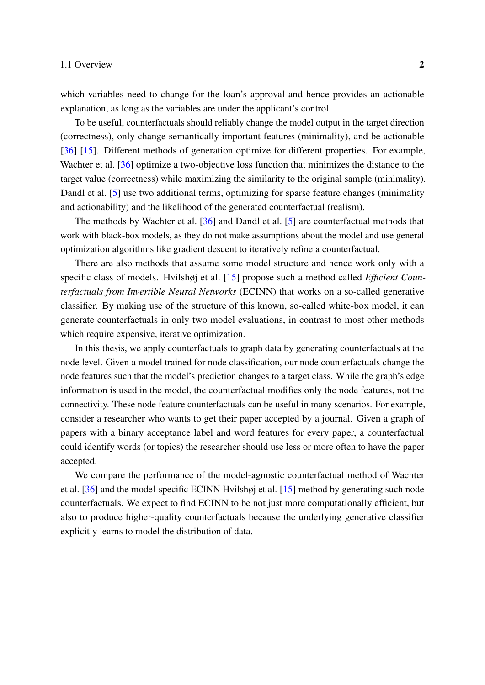which variables need to change for the loan's approval and hence provides an actionable explanation, as long as the variables are under the applicant's control.

To be useful, counterfactuals should reliably change the model output in the target direction (correctness), only change semantically important features (minimality), and be actionable [\[36\]](#page-44-0) [\[15\]](#page-43-0). Different methods of generation optimize for different properties. For example, Wachter et al. [\[36\]](#page-44-0) optimize a two-objective loss function that minimizes the distance to the target value (correctness) while maximizing the similarity to the original sample (minimality). Dandl et al. [\[5\]](#page-42-2) use two additional terms, optimizing for sparse feature changes (minimality and actionability) and the likelihood of the generated counterfactual (realism).

The methods by Wachter et al. [\[36\]](#page-44-0) and Dandl et al. [\[5\]](#page-42-2) are counterfactual methods that work with black-box models, as they do not make assumptions about the model and use general optimization algorithms like gradient descent to iteratively refine a counterfactual.

There are also methods that assume some model structure and hence work only with a specific class of models. Hvilshøj et al. [\[15\]](#page-43-0) propose such a method called *Efficient Counterfactuals from Invertible Neural Networks* (ECINN) that works on a so-called generative classifier. By making use of the structure of this known, so-called white-box model, it can generate counterfactuals in only two model evaluations, in contrast to most other methods which require expensive, iterative optimization.

In this thesis, we apply counterfactuals to graph data by generating counterfactuals at the node level. Given a model trained for node classification, our node counterfactuals change the node features such that the model's prediction changes to a target class. While the graph's edge information is used in the model, the counterfactual modifies only the node features, not the connectivity. These node feature counterfactuals can be useful in many scenarios. For example, consider a researcher who wants to get their paper accepted by a journal. Given a graph of papers with a binary acceptance label and word features for every paper, a counterfactual could identify words (or topics) the researcher should use less or more often to have the paper accepted.

We compare the performance of the model-agnostic counterfactual method of Wachter et al. [\[36\]](#page-44-0) and the model-specific ECINN Hvilshøj et al. [\[15\]](#page-43-0) method by generating such node counterfactuals. We expect to find ECINN to be not just more computationally efficient, but also to produce higher-quality counterfactuals because the underlying generative classifier explicitly learns to model the distribution of data.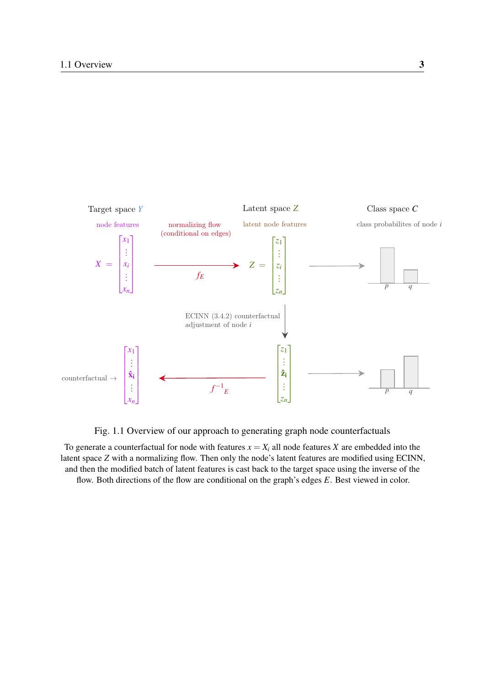<span id="page-9-0"></span>

Fig. 1.1 Overview of our approach to generating graph node counterfactuals

To generate a counterfactual for node with features  $x = X_i$  all node features X are embedded into the latent space *Z* with a normalizing flow. Then only the node's latent features are modified using ECINN, and then the modified batch of latent features is cast back to the target space using the inverse of the flow. Both directions of the flow are conditional on the graph's edges *E*. Best viewed in color.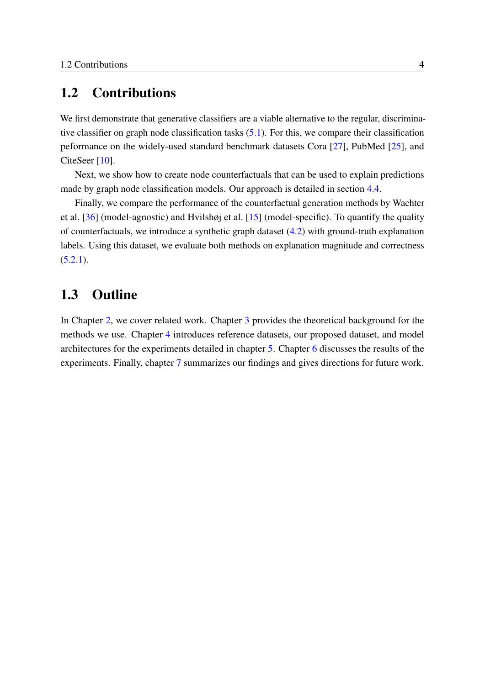### <span id="page-10-0"></span>1.2 Contributions

We first demonstrate that generative classifiers are a viable alternative to the regular, discriminative classifier on graph node classification tasks [\(5.1\)](#page-32-1). For this, we compare their classification peformance on the widely-used standard benchmark datasets Cora [\[27\]](#page-43-3), PubMed [\[25\]](#page-43-4), and CiteSeer [\[10\]](#page-42-3).

Next, we show how to create node counterfactuals that can be used to explain predictions made by graph node classification models. Our approach is detailed in section [4.4.](#page-30-1)

Finally, we compare the performance of the counterfactual generation methods by Wachter et al. [\[36\]](#page-44-0) (model-agnostic) and Hvilshøj et al. [\[15\]](#page-43-0) (model-specific). To quantify the quality of counterfactuals, we introduce a synthetic graph dataset [\(4.2\)](#page-26-1) with ground-truth explanation labels. Using this dataset, we evaluate both methods on explanation magnitude and correctness  $(5.2.1).$  $(5.2.1).$ 

## <span id="page-10-1"></span>1.3 Outline

In Chapter [2,](#page-11-0) we cover related work. Chapter [3](#page-15-0) provides the theoretical background for the methods we use. Chapter [4](#page-25-0) introduces reference datasets, our proposed dataset, and model architectures for the experiments detailed in chapter [5.](#page-32-0) Chapter [6](#page-38-0) discusses the results of the experiments. Finally, chapter [7](#page-40-0) summarizes our findings and gives directions for future work.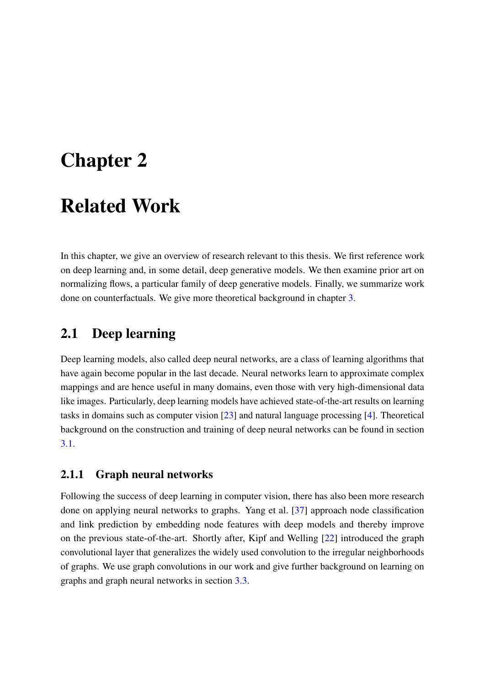## <span id="page-11-0"></span>Chapter 2

## Related Work

In this chapter, we give an overview of research relevant to this thesis. We first reference work on deep learning and, in some detail, deep generative models. We then examine prior art on normalizing flows, a particular family of deep generative models. Finally, we summarize work done on counterfactuals. We give more theoretical background in chapter [3.](#page-15-0)

### <span id="page-11-1"></span>2.1 Deep learning

Deep learning models, also called deep neural networks, are a class of learning algorithms that have again become popular in the last decade. Neural networks learn to approximate complex mappings and are hence useful in many domains, even those with very high-dimensional data like images. Particularly, deep learning models have achieved state-of-the-art results on learning tasks in domains such as computer vision [\[23\]](#page-43-5) and natural language processing [\[4\]](#page-42-4). Theoretical background on the construction and training of deep neural networks can be found in section [3.1.](#page-15-1)

### <span id="page-11-2"></span>2.1.1 Graph neural networks

Following the success of deep learning in computer vision, there has also been more research done on applying neural networks to graphs. Yang et al. [\[37\]](#page-44-1) approach node classification and link prediction by embedding node features with deep models and thereby improve on the previous state-of-the-art. Shortly after, Kipf and Welling [\[22\]](#page-43-6) introduced the graph convolutional layer that generalizes the widely used convolution to the irregular neighborhoods of graphs. We use graph convolutions in our work and give further background on learning on graphs and graph neural networks in section [3.3.](#page-21-0)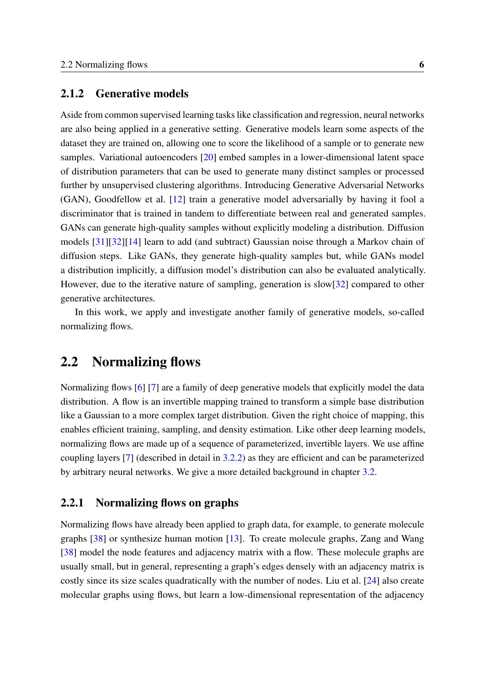### <span id="page-12-0"></span>2.1.2 Generative models

Aside from common supervised learning tasks like classification and regression, neural networks are also being applied in a generative setting. Generative models learn some aspects of the dataset they are trained on, allowing one to score the likelihood of a sample or to generate new samples. Variational autoencoders [\[20\]](#page-43-7) embed samples in a lower-dimensional latent space of distribution parameters that can be used to generate many distinct samples or processed further by unsupervised clustering algorithms. Introducing Generative Adversarial Networks (GAN), Goodfellow et al. [\[12\]](#page-43-8) train a generative model adversarially by having it fool a discriminator that is trained in tandem to differentiate between real and generated samples. GANs can generate high-quality samples without explicitly modeling a distribution. Diffusion models [\[31\]](#page-44-5)[\[32\]](#page-44-6)[\[14\]](#page-43-9) learn to add (and subtract) Gaussian noise through a Markov chain of diffusion steps. Like GANs, they generate high-quality samples but, while GANs model a distribution implicitly, a diffusion model's distribution can also be evaluated analytically. However, due to the iterative nature of sampling, generation is slow[\[32\]](#page-44-6) compared to other generative architectures.

In this work, we apply and investigate another family of generative models, so-called normalizing flows.

### <span id="page-12-1"></span>2.2 Normalizing flows

Normalizing flows [\[6\]](#page-42-5) [\[7\]](#page-42-6) are a family of deep generative models that explicitly model the data distribution. A flow is an invertible mapping trained to transform a simple base distribution like a Gaussian to a more complex target distribution. Given the right choice of mapping, this enables efficient training, sampling, and density estimation. Like other deep learning models, normalizing flows are made up of a sequence of parameterized, invertible layers. We use affine coupling layers [\[7\]](#page-42-6) (described in detail in [3.2.2\)](#page-20-1) as they are efficient and can be parameterized by arbitrary neural networks. We give a more detailed background in chapter [3.2.](#page-18-0)

### <span id="page-12-2"></span>2.2.1 Normalizing flows on graphs

Normalizing flows have already been applied to graph data, for example, to generate molecule graphs [\[38\]](#page-44-3) or synthesize human motion [\[13\]](#page-43-10). To create molecule graphs, Zang and Wang [\[38\]](#page-44-3) model the node features and adjacency matrix with a flow. These molecule graphs are usually small, but in general, representing a graph's edges densely with an adjacency matrix is costly since its size scales quadratically with the number of nodes. Liu et al. [\[24\]](#page-43-11) also create molecular graphs using flows, but learn a low-dimensional representation of the adjacency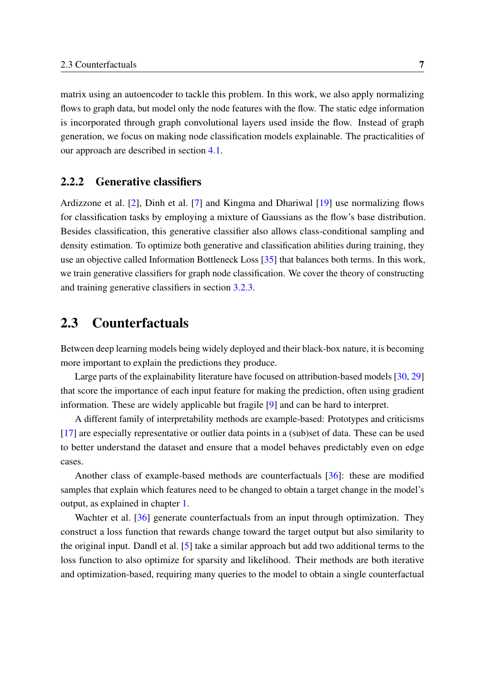matrix using an autoencoder to tackle this problem. In this work, we also apply normalizing flows to graph data, but model only the node features with the flow. The static edge information is incorporated through graph convolutional layers used inside the flow. Instead of graph generation, we focus on making node classification models explainable. The practicalities of our approach are described in section [4.1.](#page-25-1)

### <span id="page-13-0"></span>2.2.2 Generative classifiers

Ardizzone et al. [\[2\]](#page-42-7), Dinh et al. [\[7\]](#page-42-6) and Kingma and Dhariwal [\[19\]](#page-43-12) use normalizing flows for classification tasks by employing a mixture of Gaussians as the flow's base distribution. Besides classification, this generative classifier also allows class-conditional sampling and density estimation. To optimize both generative and classification abilities during training, they use an objective called Information Bottleneck Loss [\[35\]](#page-44-7) that balances both terms. In this work, we train generative classifiers for graph node classification. We cover the theory of constructing and training generative classifiers in section [3.2.3.](#page-20-0)

### <span id="page-13-1"></span>2.3 Counterfactuals

Between deep learning models being widely deployed and their black-box nature, it is becoming more important to explain the predictions they produce.

Large parts of the explainability literature have focused on attribution-based models [\[30,](#page-44-8) [29\]](#page-44-9) that score the importance of each input feature for making the prediction, often using gradient information. These are widely applicable but fragile [\[9\]](#page-42-8) and can be hard to interpret.

A different family of interpretability methods are example-based: Prototypes and criticisms [\[17\]](#page-43-13) are especially representative or outlier data points in a (sub)set of data. These can be used to better understand the dataset and ensure that a model behaves predictably even on edge cases.

Another class of example-based methods are counterfactuals [\[36\]](#page-44-0): these are modified samples that explain which features need to be changed to obtain a target change in the model's output, as explained in chapter [1.](#page-7-0)

Wachter et al. [\[36\]](#page-44-0) generate counterfactuals from an input through optimization. They construct a loss function that rewards change toward the target output but also similarity to the original input. Dandl et al. [\[5\]](#page-42-2) take a similar approach but add two additional terms to the loss function to also optimize for sparsity and likelihood. Their methods are both iterative and optimization-based, requiring many queries to the model to obtain a single counterfactual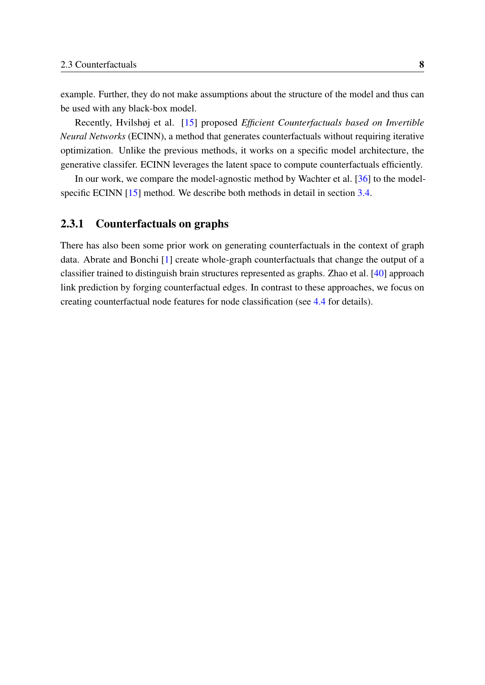example. Further, they do not make assumptions about the structure of the model and thus can be used with any black-box model.

Recently, Hvilshøj et al. [\[15\]](#page-43-0) proposed *Efficient Counterfactuals based on Invertible Neural Networks* (ECINN), a method that generates counterfactuals without requiring iterative optimization. Unlike the previous methods, it works on a specific model architecture, the generative classifer. ECINN leverages the latent space to compute counterfactuals efficiently.

In our work, we compare the model-agnostic method by Wachter et al. [\[36\]](#page-44-0) to the model-specific ECINN [\[15\]](#page-43-0) method. We describe both methods in detail in section [3.4.](#page-22-1)

### <span id="page-14-0"></span>2.3.1 Counterfactuals on graphs

There has also been some prior work on generating counterfactuals in the context of graph data. Abrate and Bonchi [\[1\]](#page-42-9) create whole-graph counterfactuals that change the output of a classifier trained to distinguish brain structures represented as graphs. Zhao et al. [\[40\]](#page-44-10) approach link prediction by forging counterfactual edges. In contrast to these approaches, we focus on creating counterfactual node features for node classification (see [4.4](#page-30-1) for details).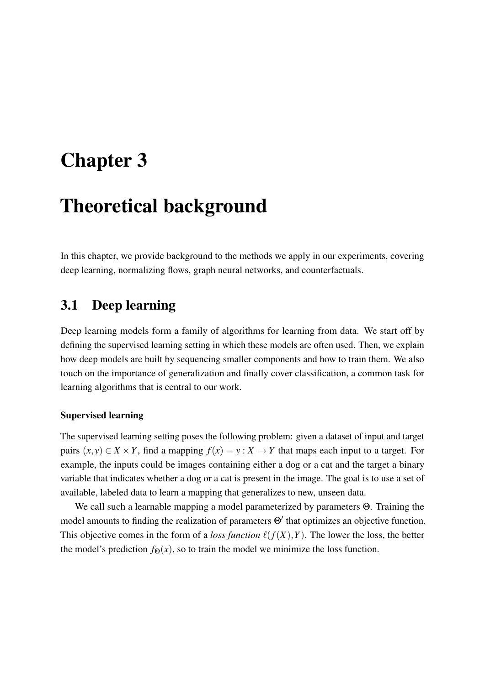## <span id="page-15-0"></span>Chapter 3

## Theoretical background

In this chapter, we provide background to the methods we apply in our experiments, covering deep learning, normalizing flows, graph neural networks, and counterfactuals.

## <span id="page-15-1"></span>3.1 Deep learning

Deep learning models form a family of algorithms for learning from data. We start off by defining the supervised learning setting in which these models are often used. Then, we explain how deep models are built by sequencing smaller components and how to train them. We also touch on the importance of generalization and finally cover classification, a common task for learning algorithms that is central to our work.

### Supervised learning

The supervised learning setting poses the following problem: given a dataset of input and target pairs  $(x, y) \in X \times Y$ , find a mapping  $f(x) = y : X \to Y$  that maps each input to a target. For example, the inputs could be images containing either a dog or a cat and the target a binary variable that indicates whether a dog or a cat is present in the image. The goal is to use a set of available, labeled data to learn a mapping that generalizes to new, unseen data.

We call such a learnable mapping a model parameterized by parameters Θ. Training the model amounts to finding the realization of parameters Θ′ that optimizes an objective function. This objective comes in the form of a *loss function*  $\ell(f(X),Y)$ . The lower the loss, the better the model's prediction  $f_{\Theta}(x)$ , so to train the model we minimize the loss function.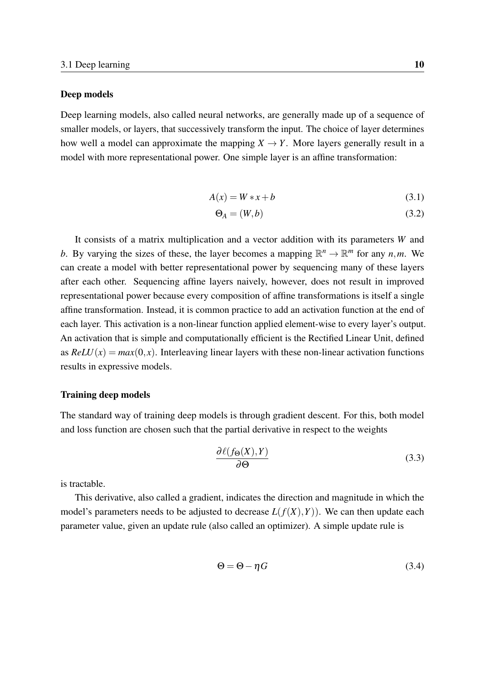#### Deep models

Deep learning models, also called neural networks, are generally made up of a sequence of smaller models, or layers, that successively transform the input. The choice of layer determines how well a model can approximate the mapping  $X \to Y$ . More layers generally result in a model with more representational power. One simple layer is an affine transformation:

$$
A(x) = W * x + b \tag{3.1}
$$

$$
\Theta_A = (W, b) \tag{3.2}
$$

It consists of a matrix multiplication and a vector addition with its parameters *W* and *b*. By varying the sizes of these, the layer becomes a mapping  $\mathbb{R}^n \to \mathbb{R}^m$  for any *n*,*m*. We can create a model with better representational power by sequencing many of these layers after each other. Sequencing affine layers naively, however, does not result in improved representational power because every composition of affine transformations is itself a single affine transformation. Instead, it is common practice to add an activation function at the end of each layer. This activation is a non-linear function applied element-wise to every layer's output. An activation that is simple and computationally efficient is the Rectified Linear Unit, defined as  $ReLU(x) = max(0, x)$ . Interleaving linear layers with these non-linear activation functions results in expressive models.

#### Training deep models

The standard way of training deep models is through gradient descent. For this, both model and loss function are chosen such that the partial derivative in respect to the weights

$$
\frac{\partial \ell(f_{\Theta}(X), Y)}{\partial \Theta} \tag{3.3}
$$

is tractable.

This derivative, also called a gradient, indicates the direction and magnitude in which the model's parameters needs to be adjusted to decrease  $L(f(X), Y)$ ). We can then update each parameter value, given an update rule (also called an optimizer). A simple update rule is

$$
\Theta = \Theta - \eta G \tag{3.4}
$$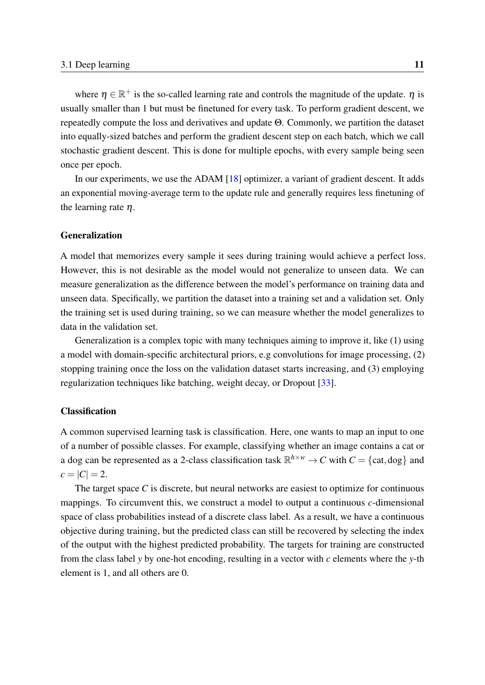where  $\eta \in \mathbb{R}^+$  is the so-called learning rate and controls the magnitude of the update.  $\eta$  is usually smaller than 1 but must be finetuned for every task. To perform gradient descent, we repeatedly compute the loss and derivatives and update Θ. Commonly, we partition the dataset into equally-sized batches and perform the gradient descent step on each batch, which we call stochastic gradient descent. This is done for multiple epochs, with every sample being seen once per epoch.

In our experiments, we use the ADAM [\[18\]](#page-43-14) optimizer, a variant of gradient descent. It adds an exponential moving-average term to the update rule and generally requires less finetuning of the learning rate  $\eta$ .

#### Generalization

A model that memorizes every sample it sees during training would achieve a perfect loss. However, this is not desirable as the model would not generalize to unseen data. We can measure generalization as the difference between the model's performance on training data and unseen data. Specifically, we partition the dataset into a training set and a validation set. Only the training set is used during training, so we can measure whether the model generalizes to data in the validation set.

Generalization is a complex topic with many techniques aiming to improve it, like (1) using a model with domain-specific architectural priors, e.g convolutions for image processing, (2) stopping training once the loss on the validation dataset starts increasing, and (3) employing regularization techniques like batching, weight decay, or Dropout [\[33\]](#page-44-11).

#### <span id="page-17-0"></span>Classification

A common supervised learning task is classification. Here, one wants to map an input to one of a number of possible classes. For example, classifying whether an image contains a cat or a dog can be represented as a 2-class classification task  $\mathbb{R}^{h \times w} \to C$  with  $C = \{\text{cat}, \text{dog}\}\$ and  $c = |C| = 2.$ 

The target space *C* is discrete, but neural networks are easiest to optimize for continuous mappings. To circumvent this, we construct a model to output a continuous *c*-dimensional space of class probabilities instead of a discrete class label. As a result, we have a continuous objective during training, but the predicted class can still be recovered by selecting the index of the output with the highest predicted probability. The targets for training are constructed from the class label *y* by one-hot encoding, resulting in a vector with *c* elements where the *y*-th element is 1, and all others are 0.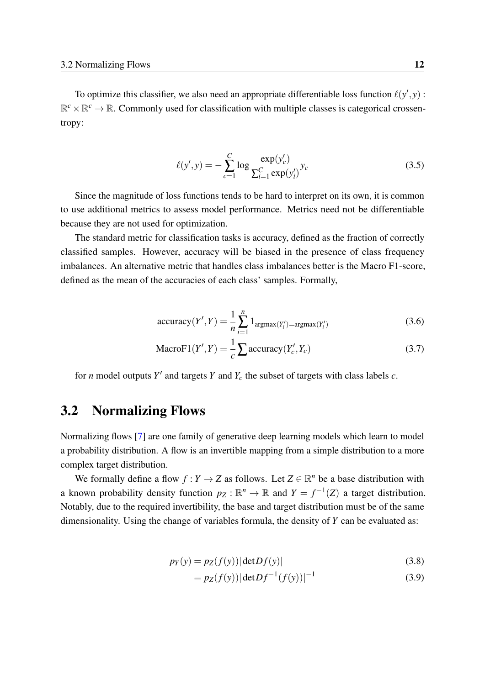To optimize this classifier, we also need an appropriate differentiable loss function  $\ell(y', y)$ :  $\mathbb{R}^c \times \mathbb{R}^c \to \mathbb{R}$ . Commonly used for classification with multiple classes is categorical crossentropy:

$$
\ell(y', y) = -\sum_{c=1}^{C} \log \frac{\exp(y_c')}{\sum_{i=1}^{C} \exp(y_i')} y_c
$$
\n(3.5)

Since the magnitude of loss functions tends to be hard to interpret on its own, it is common to use additional metrics to assess model performance. Metrics need not be differentiable because they are not used for optimization.

The standard metric for classification tasks is accuracy, defined as the fraction of correctly classified samples. However, accuracy will be biased in the presence of class frequency imbalances. An alternative metric that handles class imbalances better is the Macro F1-score, defined as the mean of the accuracies of each class' samples. Formally,

$$
\operatorname{accuracy}(Y', Y) = \frac{1}{n} \sum_{i=1}^{n} 1_{\operatorname{argmax}(Y_i') = \operatorname{argmax}(Y_i')} \tag{3.6}
$$

$$
\text{MacroF1}(Y', Y) = \frac{1}{c} \sum \text{accuracy}(Y'_c, Y_c) \tag{3.7}
$$

for *n* model outputs  $Y'$  and targets  $Y$  and  $Y_c$  the subset of targets with class labels  $c$ .

### <span id="page-18-0"></span>3.2 Normalizing Flows

Normalizing flows [\[7\]](#page-42-6) are one family of generative deep learning models which learn to model a probability distribution. A flow is an invertible mapping from a simple distribution to a more complex target distribution.

We formally define a flow  $f: Y \to Z$  as follows. Let  $Z \in \mathbb{R}^n$  be a base distribution with a known probability density function  $p_Z : \mathbb{R}^n \to \mathbb{R}$  and  $Y = f^{-1}(Z)$  a target distribution. Notably, due to the required invertibility, the base and target distribution must be of the same dimensionality. Using the change of variables formula, the density of *Y* can be evaluated as:

$$
p_Y(y) = p_Z(f(y)) |\det Df(y)| \tag{3.8}
$$

<span id="page-18-1"></span>
$$
= p_Z(f(y)) |\det Df^{-1}(f(y))|^{-1}
$$
\n(3.9)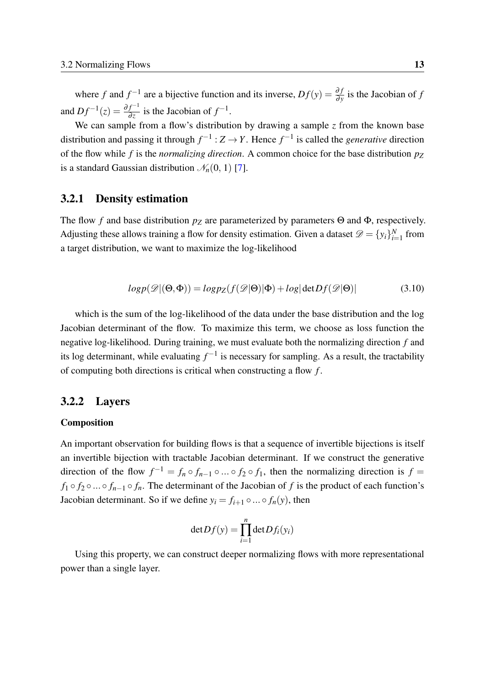where *f* and  $f^{-1}$  are a bijective function and its inverse,  $Df(y) = \frac{\partial f}{\partial y}$  is the Jacobian of *f* and  $Df^{-1}(z) = \frac{\partial f^{-1}}{\partial z}$  $rac{f^{-1}}{\partial z}$  is the Jacobian of  $f^{-1}$ .

We can sample from a flow's distribution by drawing a sample  $\zeta$  from the known base distribution and passing it through  $f^{-1}: Z \to Y$ . Hence  $f^{-1}$  is called the *generative* direction of the flow while *f* is the *normalizing direction*. A common choice for the base distribution *p<sup>Z</sup>* is a standard Gaussian distribution  $\mathcal{N}_n(0, 1)$  [\[7\]](#page-42-6).

### <span id="page-19-0"></span>3.2.1 Density estimation

The flow *f* and base distribution  $p_Z$  are parameterized by parameters  $\Theta$  and  $\Phi$ , respectively. Adjusting these allows training a flow for density estimation. Given a dataset  $\mathscr{D} = \{y_i\}_{i=1}^N$  $\binom{n}{i=1}$  from a target distribution, we want to maximize the log-likelihood

$$
log p(\mathcal{D}|(\Theta, \Phi)) = log p_Z(f(\mathcal{D}|\Theta)|\Phi) + log |det Df(\mathcal{D}|\Theta)|
$$
\n(3.10)

which is the sum of the log-likelihood of the data under the base distribution and the log Jacobian determinant of the flow. To maximize this term, we choose as loss function the negative log-likelihood. During training, we must evaluate both the normalizing direction *f* and its log determinant, while evaluating  $f^{-1}$  is necessary for sampling. As a result, the tractability of computing both directions is critical when constructing a flow *f* .

#### <span id="page-19-1"></span>3.2.2 Layers

#### Composition

An important observation for building flows is that a sequence of invertible bijections is itself an invertible bijection with tractable Jacobian determinant. If we construct the generative direction of the flow  $f^{-1} = f_n \circ f_{n-1} \circ ... \circ f_2 \circ f_1$ , then the normalizing direction is  $f =$  $f_1 \circ f_2 \circ ... \circ f_{n-1} \circ f_n$ . The determinant of the Jacobian of f is the product of each function's Jacobian determinant. So if we define  $y_i = f_{i+1} \circ ... \circ f_n(y)$ , then

$$
\det Df(y) = \prod_{i=1}^{n} \det Df_i(y_i)
$$

Using this property, we can construct deeper normalizing flows with more representational power than a single layer.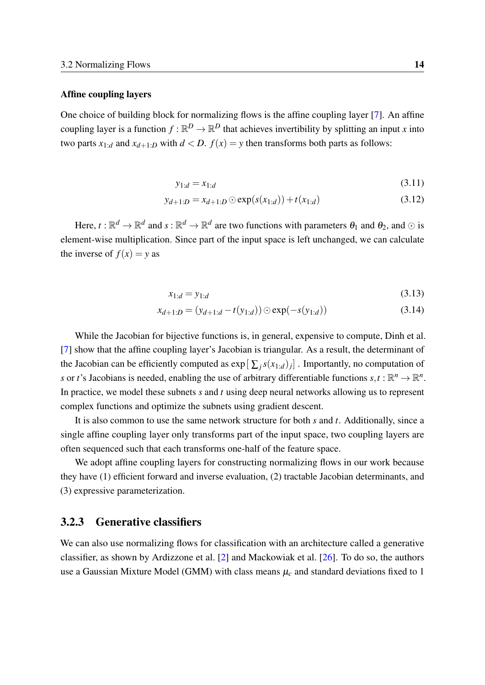#### <span id="page-20-1"></span>Affine coupling layers

One choice of building block for normalizing flows is the affine coupling layer [\[7\]](#page-42-6). An affine coupling layer is a function  $f : \mathbb{R}^D \to \mathbb{R}^D$  that achieves invertibility by splitting an input *x* into two parts  $x_{1:d}$  and  $x_{d+1:D}$  with  $d < D$ .  $f(x) = y$  then transforms both parts as follows:

$$
y_{1:d} = x_{1:d} \tag{3.11}
$$

$$
y_{d+1:D} = x_{d+1:D} \odot \exp(s(x_{1:d})) + t(x_{1:d})
$$
\n(3.12)

Here,  $t: \mathbb{R}^d \to \mathbb{R}^d$  and  $s: \mathbb{R}^d \to \mathbb{R}^d$  are two functions with parameters  $\theta_1$  and  $\theta_2$ , and  $\odot$  is element-wise multiplication. Since part of the input space is left unchanged, we can calculate the inverse of  $f(x) = y$  as

$$
x_{1:d} = y_{1:d} \tag{3.13}
$$

$$
x_{d+1:D} = (y_{d+1:d} - t(y_{1:d})) \odot \exp(-s(y_{1:d}))
$$
\n(3.14)

While the Jacobian for bijective functions is, in general, expensive to compute, Dinh et al. [\[7\]](#page-42-6) show that the affine coupling layer's Jacobian is triangular. As a result, the determinant of the Jacobian can be efficiently computed as  $\exp\left[\sum_j s(x_{1:d})_j\right]$ . Importantly, no computation of *s* or *t*'s Jacobians is needed, enabling the use of arbitrary differentiable functions  $s, t : \mathbb{R}^n \to \mathbb{R}^n$ . In practice, we model these subnets *s* and *t* using deep neural networks allowing us to represent complex functions and optimize the subnets using gradient descent.

It is also common to use the same network structure for both *s* and *t*. Additionally, since a single affine coupling layer only transforms part of the input space, two coupling layers are often sequenced such that each transforms one-half of the feature space.

We adopt affine coupling layers for constructing normalizing flows in our work because they have (1) efficient forward and inverse evaluation, (2) tractable Jacobian determinants, and (3) expressive parameterization.

### <span id="page-20-0"></span>3.2.3 Generative classifiers

We can also use normalizing flows for classification with an architecture called a generative classifier, as shown by Ardizzone et al. [\[2\]](#page-42-7) and Mackowiak et al. [\[26\]](#page-43-15). To do so, the authors use a Gaussian Mixture Model (GMM) with class means µ*<sup>c</sup>* and standard deviations fixed to 1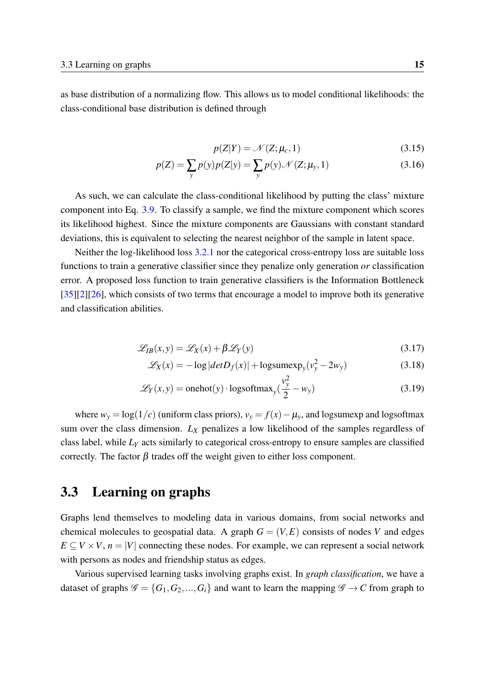as base distribution of a normalizing flow. This allows us to model conditional likelihoods: the class-conditional base distribution is defined through

$$
p(Z|Y) = \mathcal{N}(Z; \mu_c, 1) \tag{3.15}
$$

$$
p(Z) = \sum_{y} p(y) p(Z|y) = \sum_{y} p(y) \mathcal{N}(Z; \mu_y, 1)
$$
\n(3.16)

As such, we can calculate the class-conditional likelihood by putting the class' mixture component into Eq. [3.9.](#page-18-1) To classify a sample, we find the mixture component which scores its likelihood highest. Since the mixture components are Gaussians with constant standard deviations, this is equivalent to selecting the nearest neighbor of the sample in latent space.

Neither the log-likelihood loss [3.2.1](#page-19-0) nor the categorical cross-entropy loss are suitable loss functions to train a generative classifier since they penalize only generation *or* classification error. A proposed loss function to train generative classifiers is the Information Bottleneck [\[35\]](#page-44-7)[\[2\]](#page-42-7)[\[26\]](#page-43-15), which consists of two terms that encourage a model to improve both its generative and classification abilities.

$$
\mathcal{L}_{IB}(x, y) = \mathcal{L}_X(x) + \beta \mathcal{L}_Y(y) \tag{3.17}
$$

$$
\mathcal{L}_X(x) = -\log|det D_f(x)| + \log \text{sumexp}_y(v_y^2 - 2w_y)
$$
\n(3.18)

$$
\mathcal{L}_Y(x, y) = \text{onehot}(y) \cdot \text{logsoftmax}_y(\frac{v_y^2}{2} - w_y)
$$
 (3.19)

where  $w_y = \log(1/c)$  (uniform class priors),  $v_y = f(x) - \mu_y$ , and logsumexp and logsoftmax sum over the class dimension. *L<sup>X</sup>* penalizes a low likelihood of the samples regardless of class label, while *L<sup>Y</sup>* acts similarly to categorical cross-entropy to ensure samples are classified correctly. The factor  $\beta$  trades off the weight given to either loss component.

### <span id="page-21-0"></span>3.3 Learning on graphs

Graphs lend themselves to modeling data in various domains, from social networks and chemical molecules to geospatial data. A graph  $G = (V, E)$  consists of nodes *V* and edges  $E \subseteq V \times V$ ,  $n = |V|$  connecting these nodes. For example, we can represent a social network with persons as nodes and friendship status as edges.

Various supervised learning tasks involving graphs exist. In *graph classification*, we have a dataset of graphs  $\mathscr{G} = \{G_1, G_2, ..., G_i\}$  and want to learn the mapping  $\mathscr{G} \to C$  from graph to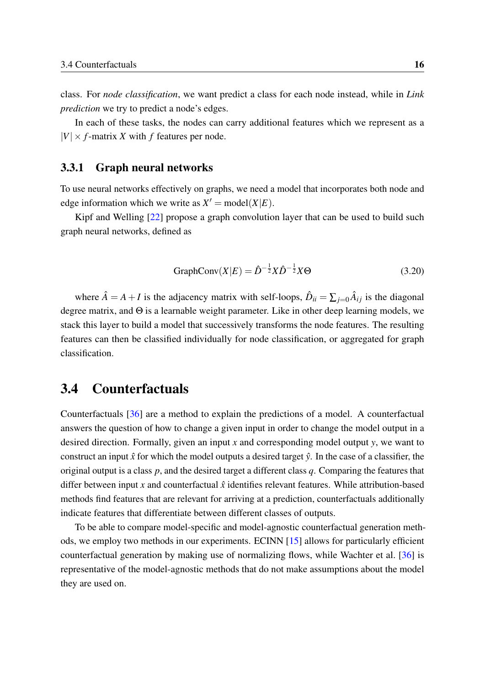class. For *node classification*, we want predict a class for each node instead, while in *Link prediction* we try to predict a node's edges.

In each of these tasks, the nodes can carry additional features which we represent as a  $|V| \times f$ -matrix *X* with *f* features per node.

#### <span id="page-22-0"></span>3.3.1 Graph neural networks

To use neural networks effectively on graphs, we need a model that incorporates both node and edge information which we write as  $X' = \text{model}(X|E)$ .

Kipf and Welling [\[22\]](#page-43-6) propose a graph convolution layer that can be used to build such graph neural networks, defined as

$$
GraphConv(X|E) = \hat{D}^{-\frac{1}{2}}X\hat{D}^{-\frac{1}{2}}X\Theta
$$
\n(3.20)

where  $\hat{A} = A + I$  is the adjacency matrix with self-loops,  $\hat{D}_{ii} = \sum_{j=0} \hat{A}_{ij}$  is the diagonal degree matrix, and Θ is a learnable weight parameter. Like in other deep learning models, we stack this layer to build a model that successively transforms the node features. The resulting features can then be classified individually for node classification, or aggregated for graph classification.

### <span id="page-22-1"></span>3.4 Counterfactuals

Counterfactuals [\[36\]](#page-44-0) are a method to explain the predictions of a model. A counterfactual answers the question of how to change a given input in order to change the model output in a desired direction. Formally, given an input *x* and corresponding model output *y*, we want to construct an input  $\hat{x}$  for which the model outputs a desired target  $\hat{y}$ . In the case of a classifier, the original output is a class *p*, and the desired target a different class *q*. Comparing the features that differ between input  $x$  and counterfactual  $\hat{x}$  identifies relevant features. While attribution-based methods find features that are relevant for arriving at a prediction, counterfactuals additionally indicate features that differentiate between different classes of outputs.

To be able to compare model-specific and model-agnostic counterfactual generation methods, we employ two methods in our experiments. ECINN [\[15\]](#page-43-0) allows for particularly efficient counterfactual generation by making use of normalizing flows, while Wachter et al. [\[36\]](#page-44-0) is representative of the model-agnostic methods that do not make assumptions about the model they are used on.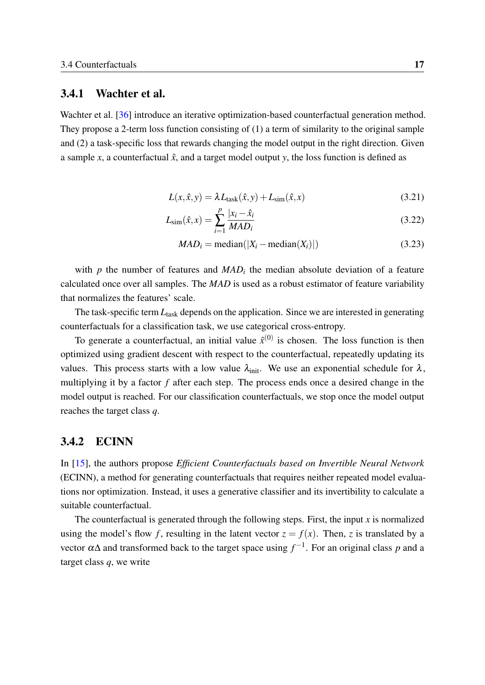### <span id="page-23-0"></span>3.4.1 Wachter et al.

Wachter et al. [\[36\]](#page-44-0) introduce an iterative optimization-based counterfactual generation method. They propose a 2-term loss function consisting of (1) a term of similarity to the original sample and (2) a task-specific loss that rewards changing the model output in the right direction. Given a sample *x*, a counterfactual  $\hat{x}$ , and a target model output *y*, the loss function is defined as

$$
L(x, \hat{x}, y) = \lambda L_{\text{task}}(\hat{x}, y) + L_{\text{sim}}(\hat{x}, x)
$$
\n(3.21)

$$
L_{\text{sim}}(\hat{x}, x) = \sum_{i=1}^{p} \frac{|x_i - \hat{x}_i|}{MAD_i}
$$
 (3.22)

$$
MAD_i = \text{median}(|X_i - \text{median}(X_i)|)
$$
\n(3.23)

with  $p$  the number of features and  $MAD_i$  the median absolute deviation of a feature calculated once over all samples. The *MAD* is used as a robust estimator of feature variability that normalizes the features' scale.

The task-specific term  $L_{task}$  depends on the application. Since we are interested in generating counterfactuals for a classification task, we use categorical cross-entropy.

To generate a counterfactual, an initial value  $\hat{x}^{(0)}$  is chosen. The loss function is then optimized using gradient descent with respect to the counterfactual, repeatedly updating its values. This process starts with a low value  $\lambda_{init}$ . We use an exponential schedule for  $\lambda$ , multiplying it by a factor *f* after each step. The process ends once a desired change in the model output is reached. For our classification counterfactuals, we stop once the model output reaches the target class *q*.

### <span id="page-23-1"></span>3.4.2 ECINN

In [\[15\]](#page-43-0), the authors propose *Efficient Counterfactuals based on Invertible Neural Network* (ECINN), a method for generating counterfactuals that requires neither repeated model evaluations nor optimization. Instead, it uses a generative classifier and its invertibility to calculate a suitable counterfactual.

The counterfactual is generated through the following steps. First, the input *x* is normalized using the model's flow f, resulting in the latent vector  $z = f(x)$ . Then, z is translated by a vector  $\alpha\Delta$  and transformed back to the target space using  $f^{-1}$ . For an original class p and a target class *q*, we write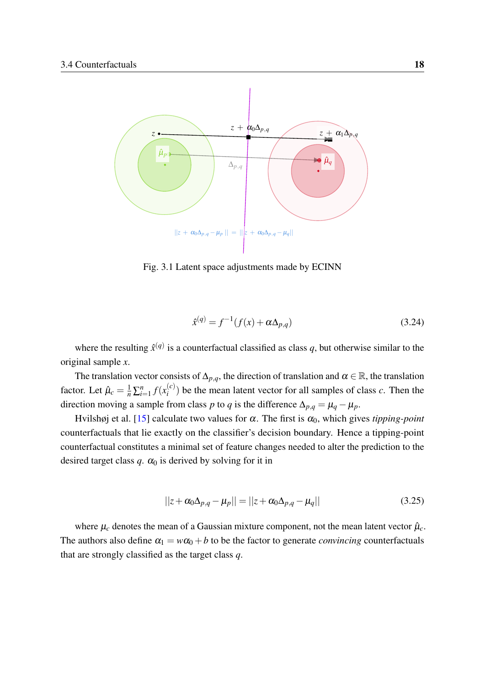<span id="page-24-0"></span>

Fig. 3.1 Latent space adjustments made by ECINN

$$
\hat{x}^{(q)} = f^{-1}(f(x) + \alpha \Delta_{p,q})
$$
\n(3.24)

where the resulting  $\hat{x}^{(q)}$  is a counterfactual classified as class q, but otherwise similar to the original sample *x*.

The translation vector consists of  $\Delta_{p,q}$ , the direction of translation and  $\alpha \in \mathbb{R}$ , the translation factor. Let  $\hat{\mu}_c = \frac{1}{n} \sum_{i=1}^n f(x_i^{(c)})$  $\binom{1}{i}$  be the mean latent vector for all samples of class *c*. Then the direction moving a sample from class *p* to *q* is the difference  $\Delta_{p,q} = \mu_q - \mu_p$ .

Hvilshøj et al. [\[15\]](#page-43-0) calculate two values for  $\alpha$ . The first is  $\alpha_0$ , which gives *tipping-point* counterfactuals that lie exactly on the classifier's decision boundary. Hence a tipping-point counterfactual constitutes a minimal set of feature changes needed to alter the prediction to the desired target class  $q$ .  $\alpha_0$  is derived by solving for it in

$$
||z + \alpha_0 \Delta_{p,q} - \mu_p|| = ||z + \alpha_0 \Delta_{p,q} - \mu_q|| \tag{3.25}
$$

where  $\mu_c$  denotes the mean of a Gaussian mixture component, not the mean latent vector  $\hat{\mu}_c$ . The authors also define  $\alpha_1 = w\alpha_0 + b$  to be the factor to generate *convincing* counterfactuals that are strongly classified as the target class *q*.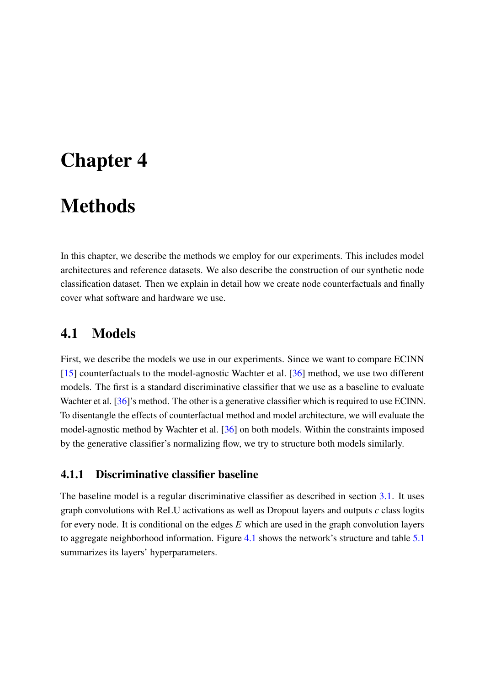## <span id="page-25-0"></span>Chapter 4

## Methods

In this chapter, we describe the methods we employ for our experiments. This includes model architectures and reference datasets. We also describe the construction of our synthetic node classification dataset. Then we explain in detail how we create node counterfactuals and finally cover what software and hardware we use.

### <span id="page-25-1"></span>4.1 Models

First, we describe the models we use in our experiments. Since we want to compare ECINN [\[15\]](#page-43-0) counterfactuals to the model-agnostic Wachter et al. [\[36\]](#page-44-0) method, we use two different models. The first is a standard discriminative classifier that we use as a baseline to evaluate Wachter et al. [\[36\]](#page-44-0)'s method. The other is a generative classifier which is required to use ECINN. To disentangle the effects of counterfactual method and model architecture, we will evaluate the model-agnostic method by Wachter et al. [\[36\]](#page-44-0) on both models. Within the constraints imposed by the generative classifier's normalizing flow, we try to structure both models similarly.

### <span id="page-25-2"></span>4.1.1 Discriminative classifier baseline

The baseline model is a regular discriminative classifier as described in section [3.1.](#page-17-0) It uses graph convolutions with ReLU activations as well as Dropout layers and outputs *c* class logits for every node. It is conditional on the edges *E* which are used in the graph convolution layers to aggregate neighborhood information. Figure [4.1](#page-26-2) shows the network's structure and table [5.1](#page-33-2) summarizes its layers' hyperparameters.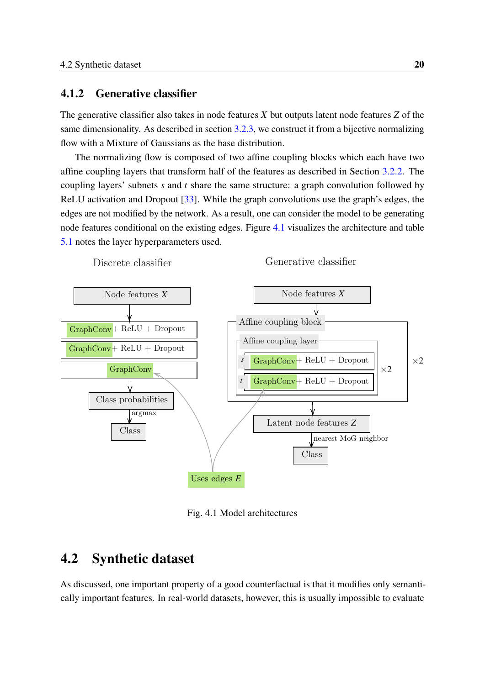### <span id="page-26-0"></span>4.1.2 Generative classifier

The generative classifier also takes in node features *X* but outputs latent node features *Z* of the same dimensionality. As described in section [3.2.3,](#page-20-0) we construct it from a bijective normalizing flow with a Mixture of Gaussians as the base distribution.

The normalizing flow is composed of two affine coupling blocks which each have two affine coupling layers that transform half of the features as described in Section [3.2.2.](#page-20-1) The coupling layers' subnets *s* and *t* share the same structure: a graph convolution followed by ReLU activation and Dropout [\[33\]](#page-44-11). While the graph convolutions use the graph's edges, the edges are not modified by the network. As a result, one can consider the model to be generating node features conditional on the existing edges. Figure [4.1](#page-26-2) visualizes the architecture and table [5.1](#page-33-2) notes the layer hyperparameters used.

<span id="page-26-2"></span>

Fig. 4.1 Model architectures

### <span id="page-26-1"></span>4.2 Synthetic dataset

As discussed, one important property of a good counterfactual is that it modifies only semantically important features. In real-world datasets, however, this is usually impossible to evaluate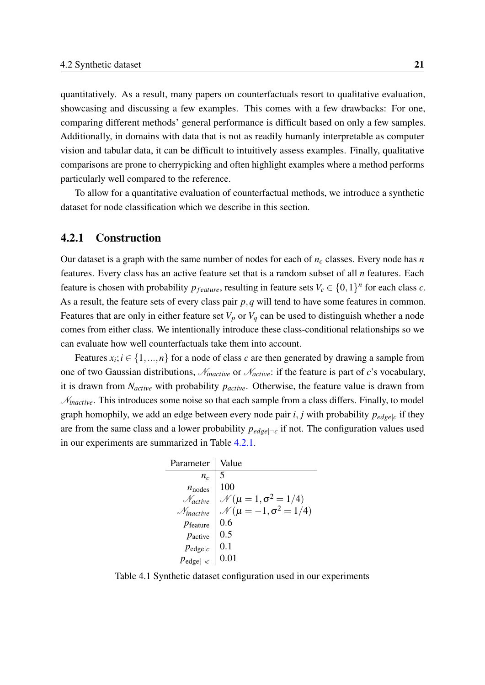quantitatively. As a result, many papers on counterfactuals resort to qualitative evaluation, showcasing and discussing a few examples. This comes with a few drawbacks: For one, comparing different methods' general performance is difficult based on only a few samples. Additionally, in domains with data that is not as readily humanly interpretable as computer vision and tabular data, it can be difficult to intuitively assess examples. Finally, qualitative comparisons are prone to cherrypicking and often highlight examples where a method performs particularly well compared to the reference.

To allow for a quantitative evaluation of counterfactual methods, we introduce a synthetic dataset for node classification which we describe in this section.

### <span id="page-27-0"></span>4.2.1 Construction

Our dataset is a graph with the same number of nodes for each of *n<sup>c</sup>* classes. Every node has *n* features. Every class has an active feature set that is a random subset of all *n* features. Each feature is chosen with probability  $p_{feature}$ , resulting in feature sets  $V_c \in \{0,1\}^n$  for each class *c*. As a result, the feature sets of every class pair *p*,*q* will tend to have some features in common. Features that are only in either feature set  $V_p$  or  $V_q$  can be used to distinguish whether a node comes from either class. We intentionally introduce these class-conditional relationships so we can evaluate how well counterfactuals take them into account.

<span id="page-27-1"></span>Features  $x_i$ ;  $i \in \{1, ..., n\}$  for a node of class *c* are then generated by drawing a sample from one of two Gaussian distributions,  $\mathcal{N}_{\text{inactive}}$  or  $\mathcal{N}_{\text{active}}$ : if the feature is part of *c*'s vocabulary, it is drawn from *Nactive* with probability *pactive*. Otherwise, the feature value is drawn from *N*inactive. This introduces some noise so that each sample from a class differs. Finally, to model graph homophily, we add an edge between every node pair  $i, j$  with probability  $p_{edge|c}$  if they are from the same class and a lower probability  $p_{edge|\neg c}$  if not. The configuration values used in our experiments are summarized in Table [4.2.1.](#page-27-1)

| Parameter                       | Value                                   |
|---------------------------------|-----------------------------------------|
| $n_c$                           |                                         |
| $n_{\text{nodes}}$              | 100                                     |
| $\mathcal{N}_{active}$          | $\mathcal{N}(\mu = 1, \sigma^2 = 1/4)$  |
| $\mathcal{N}_{\text{inactive}}$ | $\mathcal{N}(\mu = -1, \sigma^2 = 1/4)$ |
| $p_{\text{feature}}$            | 0.6                                     |
| $p_{\text{active}}$             | 0.5                                     |
| $P$ edge c                      | 0.1                                     |
| $p_{\text{edge} \neg c}$        |                                         |

Table 4.1 Synthetic dataset configuration used in our experiments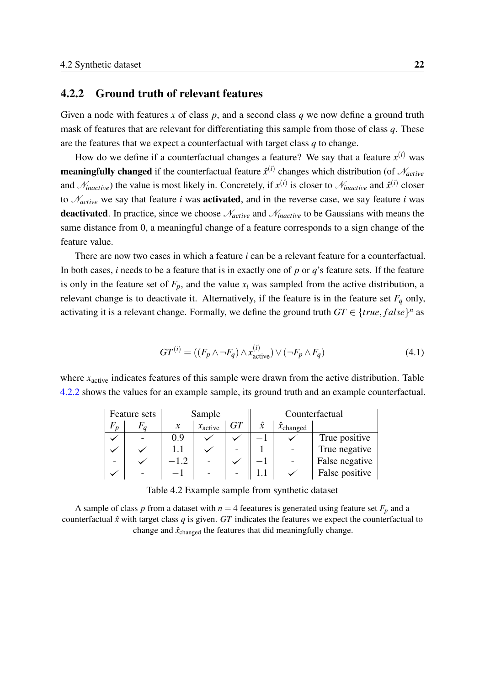### <span id="page-28-0"></span>4.2.2 Ground truth of relevant features

Given a node with features *x* of class *p*, and a second class *q* we now define a ground truth mask of features that are relevant for differentiating this sample from those of class *q*. These are the features that we expect a counterfactual with target class *q* to change.

How do we define if a counterfactual changes a feature? We say that a feature  $x^{(i)}$  was **meaningfully changed** if the counterfactual feature  $\hat{x}^{(i)}$  changes which distribution (of  $\mathcal{N}_{active}$ and  $\mathcal{N}_{inactive}$ ) the value is most likely in. Concretely, if  $x^{(i)}$  is closer to  $\mathcal{N}_{inactive}$  and  $\hat{x}^{(i)}$  closer to N*active* we say that feature *i* was activated, and in the reverse case, we say feature *i* was deactivated. In practice, since we choose  $\mathcal{N}_{active}$  and  $\mathcal{N}_{inactive}$  to be Gaussians with means the same distance from 0, a meaningful change of a feature corresponds to a sign change of the feature value.

There are now two cases in which a feature *i* can be a relevant feature for a counterfactual. In both cases, *i* needs to be a feature that is in exactly one of *p* or *q*'s feature sets. If the feature is only in the feature set of  $F_p$ , and the value  $x_i$  was sampled from the active distribution, a relevant change is to deactivate it. Alternatively, if the feature is in the feature set  $F_q$  only, activating it is a relevant change. Formally, we define the ground truth  $GT \in \{true, false\}^n$  as

$$
GT^{(i)} = ((F_p \wedge \neg F_q) \wedge x_{\text{active}}^{(i)}) \vee (\neg F_p \wedge F_q)
$$
\n(4.1)

<span id="page-28-1"></span>where *x*<sub>active</sub> indicates features of this sample were drawn from the active distribution. Table [4.2.2](#page-28-1) shows the values for an example sample, its ground truth and an example counterfactual.

| Feature sets |    | Sample |               |                     | Counterfactual |           |                   |                |
|--------------|----|--------|---------------|---------------------|----------------|-----------|-------------------|----------------|
|              | 'n |        | $\mathcal{X}$ | $x_{\text{active}}$ | GT             | $\hat{x}$ | $\hat{x}$ changed |                |
|              |    |        | 0.9           |                     |                |           |                   | True positive  |
|              |    |        |               |                     |                |           |                   | True negative  |
|              |    |        |               |                     |                |           |                   | False negative |
|              |    |        |               |                     |                |           |                   | False positive |

Table 4.2 Example sample from synthetic dataset

A sample of class *p* from a dataset with  $n = 4$  feeatures is generated using feature set  $F_p$  and a counterfactual  $\hat{x}$  with target class  $q$  is given.  $GT$  indicates the features we expect the counterfactual to change and  $\hat{x}_{\text{changed}}$  the features that did meaningfully change.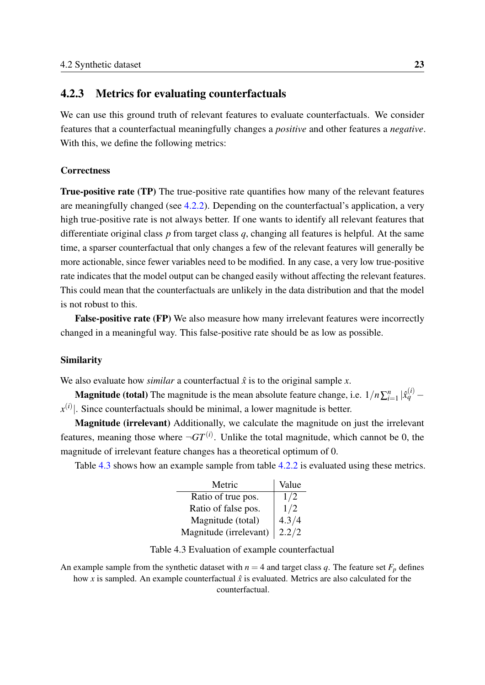### <span id="page-29-0"></span>4.2.3 Metrics for evaluating counterfactuals

We can use this ground truth of relevant features to evaluate counterfactuals. We consider features that a counterfactual meaningfully changes a *positive* and other features a *negative*. With this, we define the following metrics:

#### **Correctness**

True-positive rate (TP) The true-positive rate quantifies how many of the relevant features are meaningfully changed (see [4.2.2\)](#page-28-0). Depending on the counterfactual's application, a very high true-positive rate is not always better. If one wants to identify all relevant features that differentiate original class *p* from target class *q*, changing all features is helpful. At the same time, a sparser counterfactual that only changes a few of the relevant features will generally be more actionable, since fewer variables need to be modified. In any case, a very low true-positive rate indicates that the model output can be changed easily without affecting the relevant features. This could mean that the counterfactuals are unlikely in the data distribution and that the model is not robust to this.

False-positive rate (FP) We also measure how many irrelevant features were incorrectly changed in a meaningful way. This false-positive rate should be as low as possible.

#### Similarity

We also evaluate how *similar* a counterfactual  $\hat{x}$  is to the original sample *x*.

**Magnitude (total)** The magnitude is the mean absolute feature change, i.e.  $1/n\sum_{i=1}^{n} |\hat{x}_q^{(i)}$ *x* (*i*) |. Since counterfactuals should be minimal, a lower magnitude is better.

Magnitude (irrelevant) Additionally, we calculate the magnitude on just the irrelevant features, meaning those where  $\neg GT^{(i)}$ . Unlike the total magnitude, which cannot be 0, the magnitude of irrelevant feature changes has a theoretical optimum of 0.

<span id="page-29-1"></span>Table [4.3](#page-29-1) shows how an example sample from table [4.2.2](#page-28-1) is evaluated using these metrics.

| Metric                 | Value              |
|------------------------|--------------------|
| Ratio of true pos.     | 1/2                |
| Ratio of false pos.    | 1/2                |
| Magnitude (total)      | $4.\overline{3}/4$ |
| Magnitude (irrelevant) | 2.2/2              |

Table 4.3 Evaluation of example counterfactual

An example sample from the synthetic dataset with  $n = 4$  and target class *q*. The feature set  $F_p$  defines how x is sampled. An example counterfactual  $\hat{x}$  is evaluated. Metrics are also calculated for the counterfactual.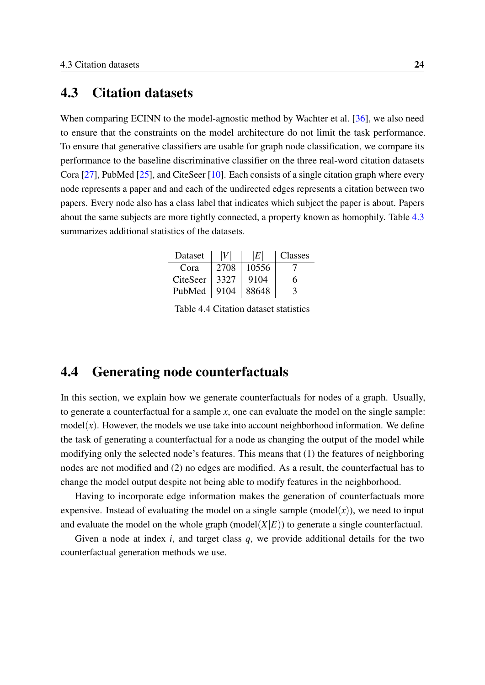### <span id="page-30-0"></span>4.3 Citation datasets

When comparing ECINN to the model-agnostic method by Wachter et al. [\[36\]](#page-44-0), we also need to ensure that the constraints on the model architecture do not limit the task performance. To ensure that generative classifiers are usable for graph node classification, we compare its performance to the baseline discriminative classifier on the three real-word citation datasets Cora [\[27\]](#page-43-3), PubMed [\[25\]](#page-43-4), and CiteSeer [\[10\]](#page-42-3). Each consists of a single citation graph where every node represents a paper and and each of the undirected edges represents a citation between two papers. Every node also has a class label that indicates which subject the paper is about. Papers about the same subjects are more tightly connected, a property known as homophily. Table [4.3](#page-30-2) summarizes additional statistics of the datasets.

<span id="page-30-2"></span>

| Dataset  |      | E     | Classes |
|----------|------|-------|---------|
| Cora     | 2708 | 10556 |         |
| CiteSeer | 3327 | 9104  | 6       |
| PubMed   | 9104 | 88648 |         |

Table 4.4 Citation dataset statistics

## <span id="page-30-1"></span>4.4 Generating node counterfactuals

In this section, we explain how we generate counterfactuals for nodes of a graph. Usually, to generate a counterfactual for a sample *x*, one can evaluate the model on the single sample:  $model(x)$ . However, the models we use take into account neighborhood information. We define the task of generating a counterfactual for a node as changing the output of the model while modifying only the selected node's features. This means that (1) the features of neighboring nodes are not modified and (2) no edges are modified. As a result, the counterfactual has to change the model output despite not being able to modify features in the neighborhood.

Having to incorporate edge information makes the generation of counterfactuals more expensive. Instead of evaluating the model on a single sample  $(modl(x))$ , we need to input and evaluate the model on the whole graph (model $(X|E)$ ) to generate a single counterfactual.

Given a node at index *i*, and target class *q*, we provide additional details for the two counterfactual generation methods we use.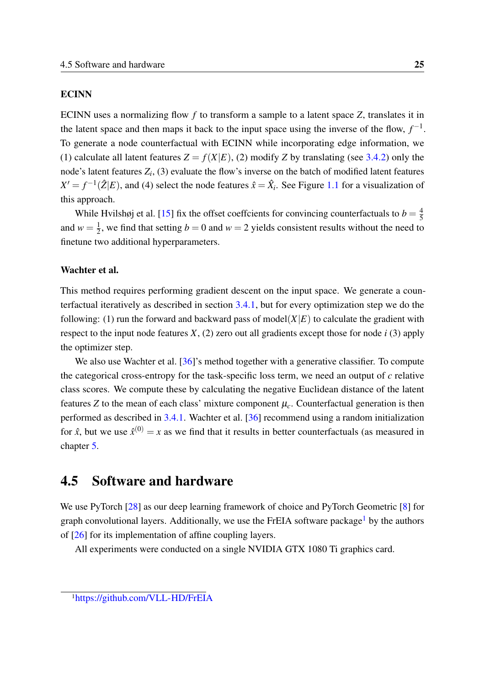#### ECINN

ECINN uses a normalizing flow *f* to transform a sample to a latent space *Z*, translates it in the latent space and then maps it back to the input space using the inverse of the flow,  $f^{-1}$ . To generate a node counterfactual with ECINN while incorporating edge information, we (1) calculate all latent features  $Z = f(X|E)$ , (2) modify *Z* by translating (see [3.4.2\)](#page-23-1) only the node's latent features *Z<sup>i</sup>* , (3) evaluate the flow's inverse on the batch of modified latent features  $X' = f^{-1}(\hat{Z}|E)$ , and (4) select the node features  $\hat{x} = \hat{X}_i$ . See Figure [1.1](#page-9-0) for a visualization of this approach.

While Hvilshøj et al. [\[15\]](#page-43-0) fix the offset coeffcients for convincing counterfactuals to  $b = \frac{4}{5}$ 5 and  $w = \frac{1}{2}$  $\frac{1}{2}$ , we find that setting  $b = 0$  and  $w = 2$  yields consistent results without the need to finetune two additional hyperparameters.

#### Wachter et al.

This method requires performing gradient descent on the input space. We generate a counterfactual iteratively as described in section [3.4.1,](#page-23-0) but for every optimization step we do the following: (1) run the forward and backward pass of model( $X|E$ ) to calculate the gradient with respect to the input node features *X*, (2) zero out all gradients except those for node *i* (3) apply the optimizer step.

We also use Wachter et al. [\[36\]](#page-44-0)'s method together with a generative classifier. To compute the categorical cross-entropy for the task-specific loss term, we need an output of *c* relative class scores. We compute these by calculating the negative Euclidean distance of the latent features *Z* to the mean of each class' mixture component  $\mu_c$ . Counterfactual generation is then performed as described in [3.4.1.](#page-23-0) Wachter et al. [\[36\]](#page-44-0) recommend using a random initialization for  $\hat{x}$ , but we use  $\hat{x}^{(0)} = x$  as we find that it results in better counterfactuals (as measured in chapter [5.](#page-32-0)

## <span id="page-31-0"></span>4.5 Software and hardware

We use PyTorch [\[28\]](#page-44-12) as our deep learning framework of choice and PyTorch Geometric [\[8\]](#page-42-10) for graph convolutional layers. Additionally, we use the FrEIA software package<sup>[1](#page-31-1)</sup> by the authors of [\[26\]](#page-43-15) for its implementation of affine coupling layers.

All experiments were conducted on a single NVIDIA GTX 1080 Ti graphics card.

<span id="page-31-1"></span><sup>1</sup><https://github.com/VLL-HD/FrEIA>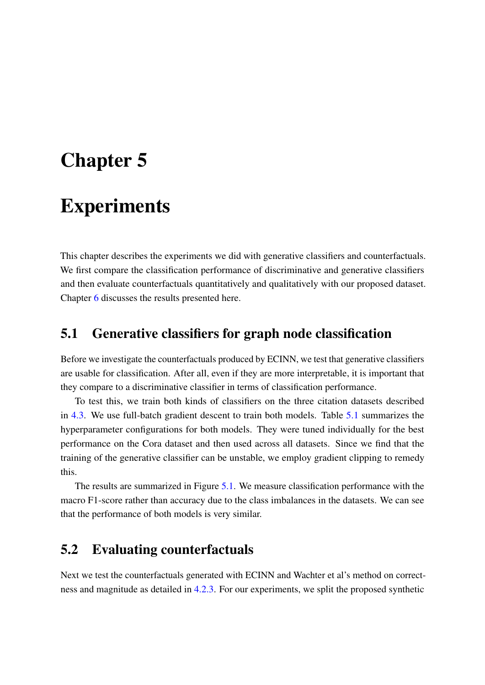## <span id="page-32-0"></span>Chapter 5

## Experiments

This chapter describes the experiments we did with generative classifiers and counterfactuals. We first compare the classification performance of discriminative and generative classifiers and then evaluate counterfactuals quantitatively and qualitatively with our proposed dataset. Chapter [6](#page-38-0) discusses the results presented here.

### <span id="page-32-1"></span>5.1 Generative classifiers for graph node classification

Before we investigate the counterfactuals produced by ECINN, we test that generative classifiers are usable for classification. After all, even if they are more interpretable, it is important that they compare to a discriminative classifier in terms of classification performance.

To test this, we train both kinds of classifiers on the three citation datasets described in [4.3.](#page-30-0) We use full-batch gradient descent to train both models. Table [5.1](#page-33-2) summarizes the hyperparameter configurations for both models. They were tuned individually for the best performance on the Cora dataset and then used across all datasets. Since we find that the training of the generative classifier can be unstable, we employ gradient clipping to remedy this.

The results are summarized in Figure [5.1.](#page-33-1) We measure classification performance with the macro F1-score rather than accuracy due to the class imbalances in the datasets. We can see that the performance of both models is very similar.

## <span id="page-32-2"></span>5.2 Evaluating counterfactuals

Next we test the counterfactuals generated with ECINN and Wachter et al's method on correctness and magnitude as detailed in [4.2.3.](#page-29-0) For our experiments, we split the proposed synthetic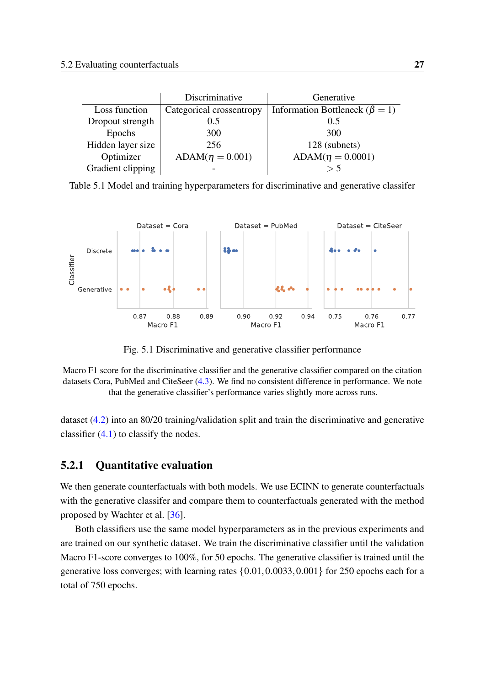<span id="page-33-2"></span>

|                   | Discriminative           | Generative                             |
|-------------------|--------------------------|----------------------------------------|
| Loss function     | Categorical crossentropy | Information Bottleneck ( $\beta = 1$ ) |
| Dropout strength  | 0.5                      | 0.5                                    |
| Epochs            | 300                      | 300                                    |
| Hidden layer size | 256                      | 128 (subnets)                          |
| Optimizer         | $ADAM(\eta = 0.001)$     | $ADAM(\eta = 0.0001)$                  |
| Gradient clipping |                          |                                        |

Table 5.1 Model and training hyperparameters for discriminative and generative classifer

<span id="page-33-1"></span>

Fig. 5.1 Discriminative and generative classifier performance

Macro F1 score for the discriminative classifier and the generative classifier compared on the citation datasets Cora, PubMed and CiteSeer [\(4.3\)](#page-30-0). We find no consistent difference in performance. We note that the generative classifier's performance varies slightly more across runs.

dataset [\(4.2\)](#page-26-1) into an 80/20 training/validation split and train the discriminative and generative classifier  $(4.1)$  to classify the nodes.

### <span id="page-33-0"></span>5.2.1 Quantitative evaluation

We then generate counterfactuals with both models. We use ECINN to generate counterfactuals with the generative classifer and compare them to counterfactuals generated with the method proposed by Wachter et al. [\[36\]](#page-44-0).

Both classifiers use the same model hyperparameters as in the previous experiments and are trained on our synthetic dataset. We train the discriminative classifier until the validation Macro F1-score converges to 100%, for 50 epochs. The generative classifier is trained until the generative loss converges; with learning rates  $\{0.01, 0.0033, 0.001\}$  for 250 epochs each for a total of 750 epochs.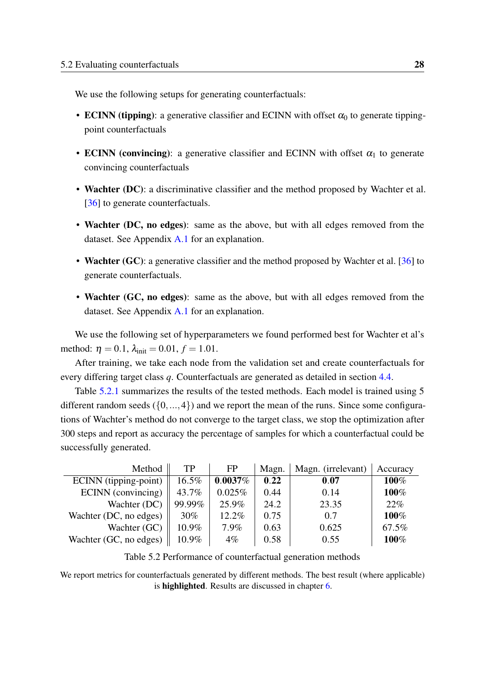We use the following setups for generating counterfactuals:

- ECINN (tipping): a generative classifier and ECINN with offset  $\alpha_0$  to generate tippingpoint counterfactuals
- ECINN (convincing): a generative classifier and ECINN with offset  $\alpha_1$  to generate convincing counterfactuals
- Wachter (DC): a discriminative classifier and the method proposed by Wachter et al. [\[36\]](#page-44-0) to generate counterfactuals.
- Wachter (DC, no edges): same as the above, but with all edges removed from the dataset. See Appendix [A.1](#page-45-1) for an explanation.
- Wachter (GC): a generative classifier and the method proposed by Wachter et al. [\[36\]](#page-44-0) to generate counterfactuals.
- Wachter (GC, no edges): same as the above, but with all edges removed from the dataset. See Appendix [A.1](#page-45-1) for an explanation.

We use the following set of hyperparameters we found performed best for Wachter et al's method:  $\eta = 0.1$ ,  $\lambda_{init} = 0.01$ ,  $f = 1.01$ .

After training, we take each node from the validation set and create counterfactuals for every differing target class *q*. Counterfactuals are generated as detailed in section [4.4.](#page-30-1)

Table [5.2.1](#page-34-0) summarizes the results of the tested methods. Each model is trained using 5 different random seeds  $({0, ..., 4})$  and we report the mean of the runs. Since some configurations of Wachter's method do not converge to the target class, we stop the optimization after 300 steps and report as accuracy the percentage of samples for which a counterfactual could be successfully generated.

<span id="page-34-0"></span>

| Method                 | TP     | <b>FP</b>  | Magn. | Magn. (irrelevant) | Accuracy |
|------------------------|--------|------------|-------|--------------------|----------|
| ECINN (tipping-point)  | 16.5%  | $0.0037\%$ | 0.22  | 0.07               | 100%     |
| ECINN (convincing)     | 43.7%  | 0.025%     | 0.44  | 0.14               | 100%     |
| Wachter (DC)           | 99.99% | 25.9%      | 24.2  | 23.35              | 22%      |
| Wachter (DC, no edges) | $30\%$ | 12.2%      | 0.75  | 0.7                | 100%     |
| Wachter (GC)           | 10.9%  | 7.9%       | 0.63  | 0.625              | 67.5%    |
| Wachter (GC, no edges) | 10.9%  | $4\%$      | 0.58  | 0.55               | 100%     |

Table 5.2 Performance of counterfactual generation methods

We report metrics for counterfactuals generated by different methods. The best result (where applicable) is highlighted. Results are discussed in chapter [6.](#page-38-0)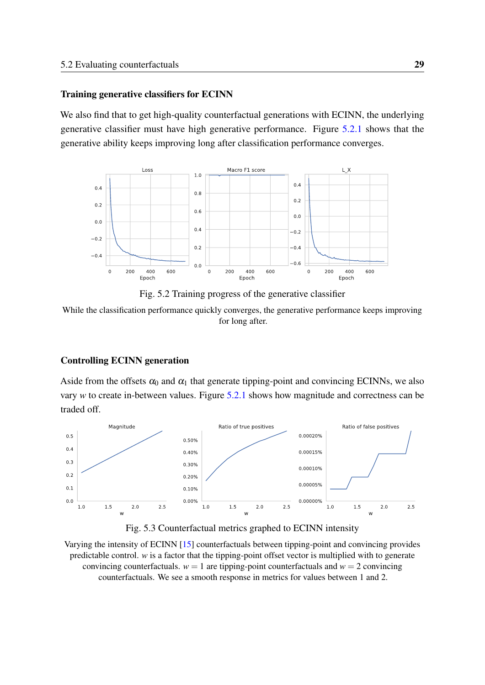#### Training generative classifiers for ECINN

We also find that to get high-quality counterfactual generations with ECINN, the underlying generative classifier must have high generative performance. Figure [5.2.1](#page-35-0) shows that the generative ability keeps improving long after classification performance converges.

<span id="page-35-0"></span>

Fig. 5.2 Training progress of the generative classifier

While the classification performance quickly converges, the generative performance keeps improving for long after.

#### Controlling ECINN generation

Aside from the offsets  $\alpha_0$  and  $\alpha_1$  that generate tipping-point and convincing ECINNs, we also vary *w* to create in-between values. Figure [5.2.1](#page-35-1) shows how magnitude and correctness can be traded off.

<span id="page-35-1"></span>

Fig. 5.3 Counterfactual metrics graphed to ECINN intensity

Varying the intensity of ECINN [\[15\]](#page-43-0) counterfactuals between tipping-point and convincing provides predictable control. *w* is a factor that the tipping-point offset vector is multiplied with to generate convincing counterfactuals.  $w = 1$  are tipping-point counterfactuals and  $w = 2$  convincing counterfactuals. We see a smooth response in metrics for values between 1 and 2.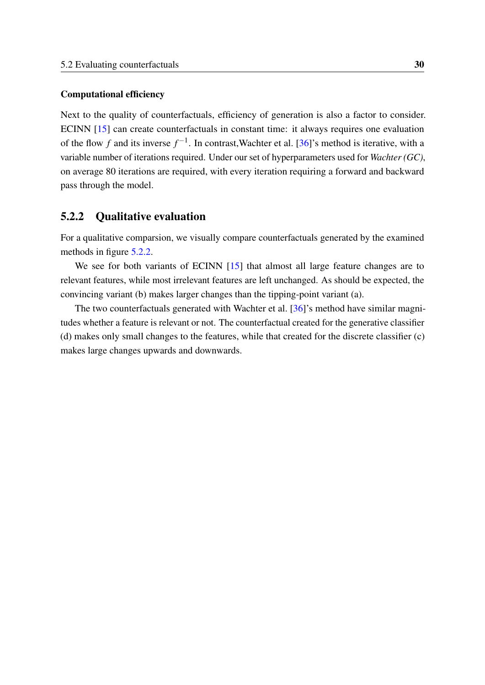#### Computational efficiency

Next to the quality of counterfactuals, efficiency of generation is also a factor to consider. ECINN [\[15\]](#page-43-0) can create counterfactuals in constant time: it always requires one evaluation of the flow *f* and its inverse  $f^{-1}$ . In contrast, Wachter et al. [\[36\]](#page-44-0)'s method is iterative, with a variable number of iterations required. Under our set of hyperparameters used for *Wachter (GC)*, on average 80 iterations are required, with every iteration requiring a forward and backward pass through the model.

### <span id="page-36-0"></span>5.2.2 Qualitative evaluation

For a qualitative comparsion, we visually compare counterfactuals generated by the examined methods in figure [5.2.2.](#page-37-0)

We see for both variants of ECINN [\[15\]](#page-43-0) that almost all large feature changes are to relevant features, while most irrelevant features are left unchanged. As should be expected, the convincing variant (b) makes larger changes than the tipping-point variant (a).

The two counterfactuals generated with Wachter et al. [\[36\]](#page-44-0)'s method have similar magnitudes whether a feature is relevant or not. The counterfactual created for the generative classifier (d) makes only small changes to the features, while that created for the discrete classifier (c) makes large changes upwards and downwards.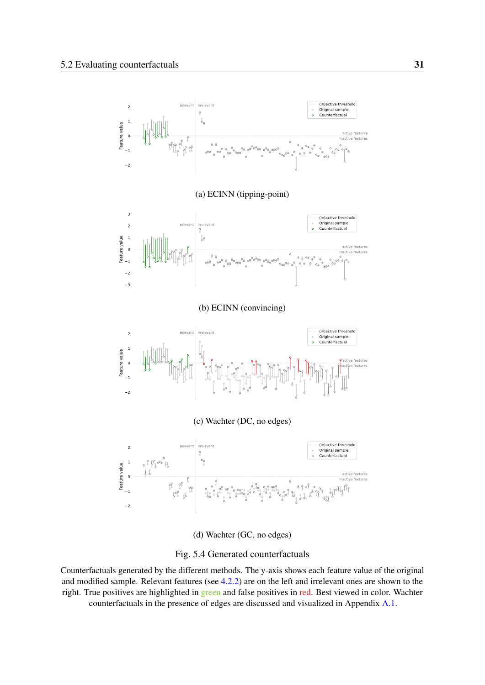<span id="page-37-0"></span>

(d) Wachter (GC, no edges)

Fig. 5.4 Generated counterfactuals

Counterfactuals generated by the different methods. The y-axis shows each feature value of the original and modified sample. Relevant features (see [4.2.2\)](#page-28-0) are on the left and irrelevant ones are shown to the right. True positives are highlighted in green and false positives in red. Best viewed in color. Wachter counterfactuals in the presence of edges are discussed and visualized in Appendix [A.1.](#page-45-1)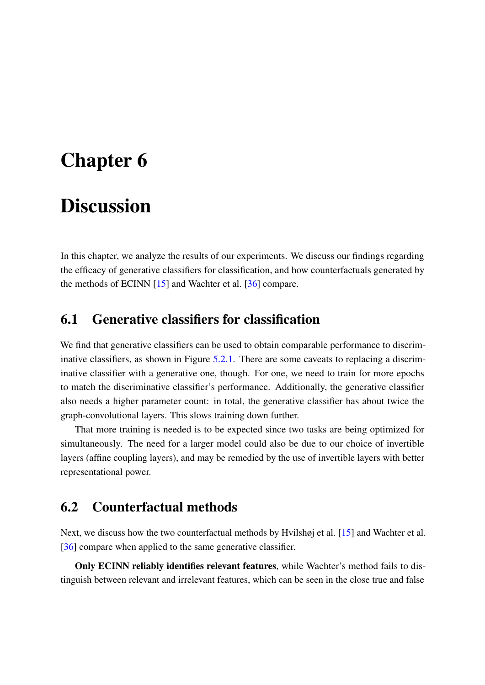## <span id="page-38-0"></span>Chapter 6

## **Discussion**

In this chapter, we analyze the results of our experiments. We discuss our findings regarding the efficacy of generative classifiers for classification, and how counterfactuals generated by the methods of ECINN [\[15\]](#page-43-0) and Wachter et al. [\[36\]](#page-44-0) compare.

### <span id="page-38-1"></span>6.1 Generative classifiers for classification

We find that generative classifiers can be used to obtain comparable performance to discrim-inative classifiers, as shown in Figure [5.2.1.](#page-35-0) There are some caveats to replacing a discriminative classifier with a generative one, though. For one, we need to train for more epochs to match the discriminative classifier's performance. Additionally, the generative classifier also needs a higher parameter count: in total, the generative classifier has about twice the graph-convolutional layers. This slows training down further.

That more training is needed is to be expected since two tasks are being optimized for simultaneously. The need for a larger model could also be due to our choice of invertible layers (affine coupling layers), and may be remedied by the use of invertible layers with better representational power.

## <span id="page-38-2"></span>6.2 Counterfactual methods

Next, we discuss how the two counterfactual methods by Hvilshøj et al. [\[15\]](#page-43-0) and Wachter et al. [\[36\]](#page-44-0) compare when applied to the same generative classifier.

Only ECINN reliably identifies relevant features, while Wachter's method fails to distinguish between relevant and irrelevant features, which can be seen in the close true and false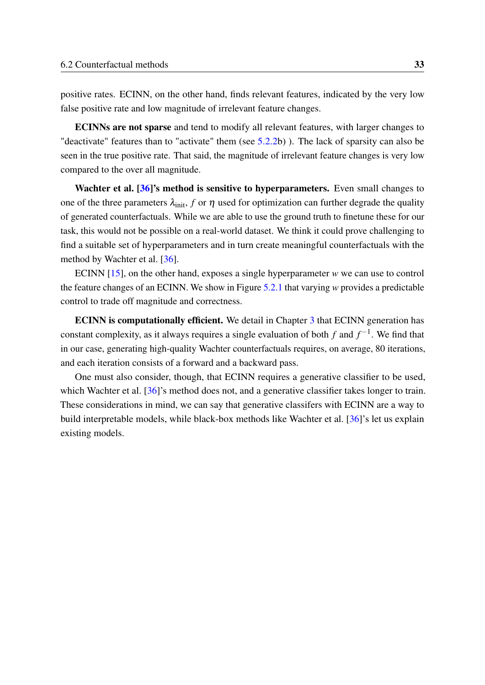positive rates. ECINN, on the other hand, finds relevant features, indicated by the very low false positive rate and low magnitude of irrelevant feature changes.

ECINNs are not sparse and tend to modify all relevant features, with larger changes to "deactivate" features than to "activate" them (see [5.2.2b](#page-37-0))). The lack of sparsity can also be seen in the true positive rate. That said, the magnitude of irrelevant feature changes is very low compared to the over all magnitude.

Wachter et al. [\[36\]](#page-44-0)'s method is sensitive to hyperparameters. Even small changes to one of the three parameters  $\lambda_{init}$ , *f* or  $\eta$  used for optimization can further degrade the quality of generated counterfactuals. While we are able to use the ground truth to finetune these for our task, this would not be possible on a real-world dataset. We think it could prove challenging to find a suitable set of hyperparameters and in turn create meaningful counterfactuals with the method by Wachter et al. [\[36\]](#page-44-0).

ECINN [\[15\]](#page-43-0), on the other hand, exposes a single hyperparameter *w* we can use to control the feature changes of an ECINN. We show in Figure [5.2.1](#page-35-1) that varying *w* provides a predictable control to trade off magnitude and correctness.

ECINN is computationally efficient. We detail in Chapter [3](#page-15-0) that ECINN generation has constant complexity, as it always requires a single evaluation of both  $f$  and  $f^{-1}$ . We find that in our case, generating high-quality Wachter counterfactuals requires, on average, 80 iterations, and each iteration consists of a forward and a backward pass.

One must also consider, though, that ECINN requires a generative classifier to be used, which Wachter et al. [\[36\]](#page-44-0)'s method does not, and a generative classifier takes longer to train. These considerations in mind, we can say that generative classifers with ECINN are a way to build interpretable models, while black-box methods like Wachter et al. [\[36\]](#page-44-0)'s let us explain existing models.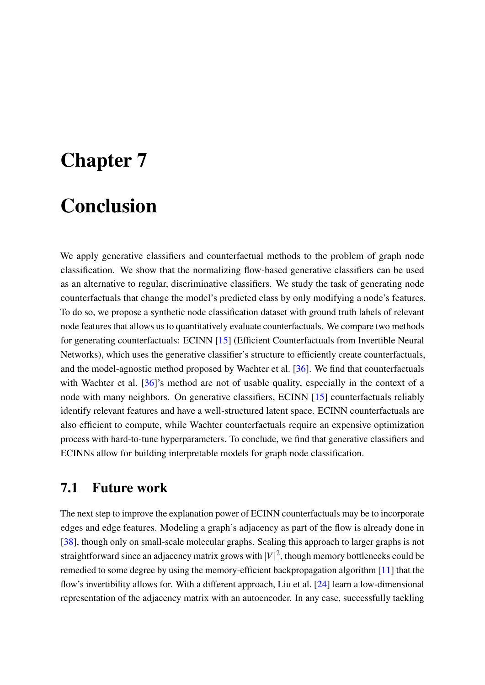## <span id="page-40-0"></span>Chapter 7

## Conclusion

We apply generative classifiers and counterfactual methods to the problem of graph node classification. We show that the normalizing flow-based generative classifiers can be used as an alternative to regular, discriminative classifiers. We study the task of generating node counterfactuals that change the model's predicted class by only modifying a node's features. To do so, we propose a synthetic node classification dataset with ground truth labels of relevant node features that allows us to quantitatively evaluate counterfactuals. We compare two methods for generating counterfactuals: ECINN [\[15\]](#page-43-0) (Efficient Counterfactuals from Invertible Neural Networks), which uses the generative classifier's structure to efficiently create counterfactuals, and the model-agnostic method proposed by Wachter et al. [\[36\]](#page-44-0). We find that counterfactuals with Wachter et al. [\[36\]](#page-44-0)'s method are not of usable quality, especially in the context of a node with many neighbors. On generative classifiers, ECINN [\[15\]](#page-43-0) counterfactuals reliably identify relevant features and have a well-structured latent space. ECINN counterfactuals are also efficient to compute, while Wachter counterfactuals require an expensive optimization process with hard-to-tune hyperparameters. To conclude, we find that generative classifiers and ECINNs allow for building interpretable models for graph node classification.

### <span id="page-40-1"></span>7.1 Future work

The next step to improve the explanation power of ECINN counterfactuals may be to incorporate edges and edge features. Modeling a graph's adjacency as part of the flow is already done in [\[38\]](#page-44-3), though only on small-scale molecular graphs. Scaling this approach to larger graphs is not straightforward since an adjacency matrix grows with  $|V|^2$ , though memory bottlenecks could be remedied to some degree by using the memory-efficient backpropagation algorithm [\[11\]](#page-42-11) that the flow's invertibility allows for. With a different approach, Liu et al. [\[24\]](#page-43-11) learn a low-dimensional representation of the adjacency matrix with an autoencoder. In any case, successfully tackling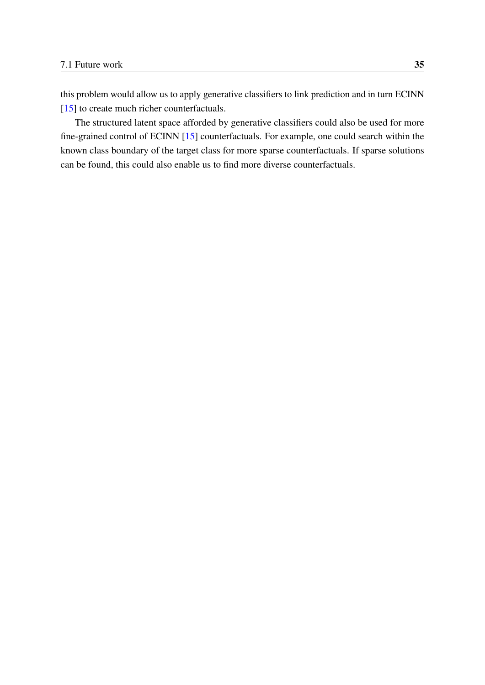this problem would allow us to apply generative classifiers to link prediction and in turn ECINN [\[15\]](#page-43-0) to create much richer counterfactuals.

The structured latent space afforded by generative classifiers could also be used for more fine-grained control of ECINN [\[15\]](#page-43-0) counterfactuals. For example, one could search within the known class boundary of the target class for more sparse counterfactuals. If sparse solutions can be found, this could also enable us to find more diverse counterfactuals.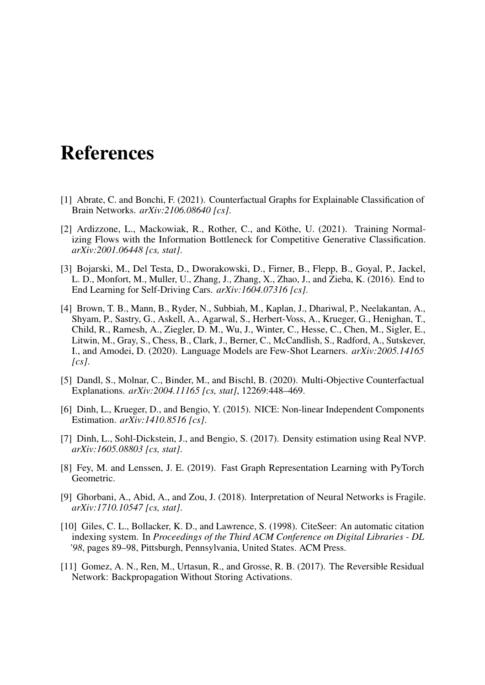## <span id="page-42-0"></span>**References**

- <span id="page-42-9"></span>[1] Abrate, C. and Bonchi, F. (2021). Counterfactual Graphs for Explainable Classification of Brain Networks. *arXiv:2106.08640 [cs]*.
- <span id="page-42-7"></span>[2] Ardizzone, L., Mackowiak, R., Rother, C., and Köthe, U. (2021). Training Normalizing Flows with the Information Bottleneck for Competitive Generative Classification. *arXiv:2001.06448 [cs, stat]*.
- <span id="page-42-1"></span>[3] Bojarski, M., Del Testa, D., Dworakowski, D., Firner, B., Flepp, B., Goyal, P., Jackel, L. D., Monfort, M., Muller, U., Zhang, J., Zhang, X., Zhao, J., and Zieba, K. (2016). End to End Learning for Self-Driving Cars. *arXiv:1604.07316 [cs]*.
- <span id="page-42-4"></span>[4] Brown, T. B., Mann, B., Ryder, N., Subbiah, M., Kaplan, J., Dhariwal, P., Neelakantan, A., Shyam, P., Sastry, G., Askell, A., Agarwal, S., Herbert-Voss, A., Krueger, G., Henighan, T., Child, R., Ramesh, A., Ziegler, D. M., Wu, J., Winter, C., Hesse, C., Chen, M., Sigler, E., Litwin, M., Gray, S., Chess, B., Clark, J., Berner, C., McCandlish, S., Radford, A., Sutskever, I., and Amodei, D. (2020). Language Models are Few-Shot Learners. *arXiv:2005.14165 [cs]*.
- <span id="page-42-2"></span>[5] Dandl, S., Molnar, C., Binder, M., and Bischl, B. (2020). Multi-Objective Counterfactual Explanations. *arXiv:2004.11165 [cs, stat]*, 12269:448–469.
- <span id="page-42-5"></span>[6] Dinh, L., Krueger, D., and Bengio, Y. (2015). NICE: Non-linear Independent Components Estimation. *arXiv:1410.8516 [cs]*.
- <span id="page-42-6"></span>[7] Dinh, L., Sohl-Dickstein, J., and Bengio, S. (2017). Density estimation using Real NVP. *arXiv:1605.08803 [cs, stat]*.
- <span id="page-42-10"></span>[8] Fey, M. and Lenssen, J. E. (2019). Fast Graph Representation Learning with PyTorch Geometric.
- <span id="page-42-8"></span>[9] Ghorbani, A., Abid, A., and Zou, J. (2018). Interpretation of Neural Networks is Fragile. *arXiv:1710.10547 [cs, stat]*.
- <span id="page-42-3"></span>[10] Giles, C. L., Bollacker, K. D., and Lawrence, S. (1998). CiteSeer: An automatic citation indexing system. In *Proceedings of the Third ACM Conference on Digital Libraries - DL '98*, pages 89–98, Pittsburgh, Pennsylvania, United States. ACM Press.
- <span id="page-42-11"></span>[11] Gomez, A. N., Ren, M., Urtasun, R., and Grosse, R. B. (2017). The Reversible Residual Network: Backpropagation Without Storing Activations.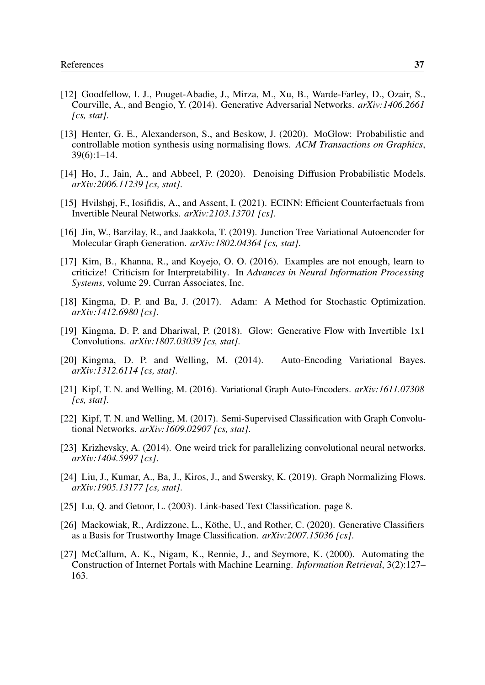- <span id="page-43-8"></span>[12] Goodfellow, I. J., Pouget-Abadie, J., Mirza, M., Xu, B., Warde-Farley, D., Ozair, S., Courville, A., and Bengio, Y. (2014). Generative Adversarial Networks. *arXiv:1406.2661 [cs, stat]*.
- <span id="page-43-10"></span>[13] Henter, G. E., Alexanderson, S., and Beskow, J. (2020). MoGlow: Probabilistic and controllable motion synthesis using normalising flows. *ACM Transactions on Graphics*, 39(6):1–14.
- <span id="page-43-9"></span>[14] Ho, J., Jain, A., and Abbeel, P. (2020). Denoising Diffusion Probabilistic Models. *arXiv:2006.11239 [cs, stat]*.
- <span id="page-43-0"></span>[15] Hvilshøj, F., Iosifidis, A., and Assent, I. (2021). ECINN: Efficient Counterfactuals from Invertible Neural Networks. *arXiv:2103.13701 [cs]*.
- <span id="page-43-2"></span>[16] Jin, W., Barzilay, R., and Jaakkola, T. (2019). Junction Tree Variational Autoencoder for Molecular Graph Generation. *arXiv:1802.04364 [cs, stat]*.
- <span id="page-43-13"></span>[17] Kim, B., Khanna, R., and Koyejo, O. O. (2016). Examples are not enough, learn to criticize! Criticism for Interpretability. In *Advances in Neural Information Processing Systems*, volume 29. Curran Associates, Inc.
- <span id="page-43-14"></span>[18] Kingma, D. P. and Ba, J. (2017). Adam: A Method for Stochastic Optimization. *arXiv:1412.6980 [cs]*.
- <span id="page-43-12"></span>[19] Kingma, D. P. and Dhariwal, P. (2018). Glow: Generative Flow with Invertible 1x1 Convolutions. *arXiv:1807.03039 [cs, stat]*.
- <span id="page-43-7"></span>[20] Kingma, D. P. and Welling, M. (2014). Auto-Encoding Variational Bayes. *arXiv:1312.6114 [cs, stat]*.
- <span id="page-43-1"></span>[21] Kipf, T. N. and Welling, M. (2016). Variational Graph Auto-Encoders. *arXiv:1611.07308 [cs, stat]*.
- <span id="page-43-6"></span>[22] Kipf, T. N. and Welling, M. (2017). Semi-Supervised Classification with Graph Convolutional Networks. *arXiv:1609.02907 [cs, stat]*.
- <span id="page-43-5"></span>[23] Krizhevsky, A. (2014). One weird trick for parallelizing convolutional neural networks. *arXiv:1404.5997 [cs]*.
- <span id="page-43-11"></span>[24] Liu, J., Kumar, A., Ba, J., Kiros, J., and Swersky, K. (2019). Graph Normalizing Flows. *arXiv:1905.13177 [cs, stat]*.
- <span id="page-43-4"></span>[25] Lu, Q. and Getoor, L. (2003). Link-based Text Classification. page 8.
- <span id="page-43-15"></span>[26] Mackowiak, R., Ardizzone, L., Köthe, U., and Rother, C. (2020). Generative Classifiers as a Basis for Trustworthy Image Classification. *arXiv:2007.15036 [cs]*.
- <span id="page-43-3"></span>[27] McCallum, A. K., Nigam, K., Rennie, J., and Seymore, K. (2000). Automating the Construction of Internet Portals with Machine Learning. *Information Retrieval*, 3(2):127– 163.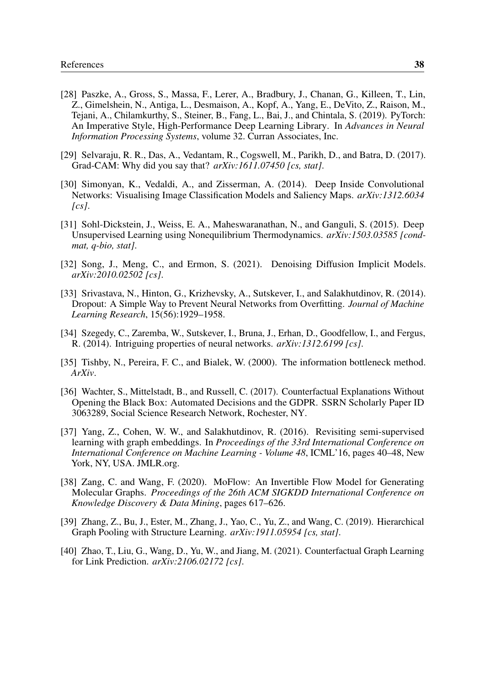- <span id="page-44-12"></span>[28] Paszke, A., Gross, S., Massa, F., Lerer, A., Bradbury, J., Chanan, G., Killeen, T., Lin, Z., Gimelshein, N., Antiga, L., Desmaison, A., Kopf, A., Yang, E., DeVito, Z., Raison, M., Tejani, A., Chilamkurthy, S., Steiner, B., Fang, L., Bai, J., and Chintala, S. (2019). PyTorch: An Imperative Style, High-Performance Deep Learning Library. In *Advances in Neural Information Processing Systems*, volume 32. Curran Associates, Inc.
- <span id="page-44-9"></span>[29] Selvaraju, R. R., Das, A., Vedantam, R., Cogswell, M., Parikh, D., and Batra, D. (2017). Grad-CAM: Why did you say that? *arXiv:1611.07450 [cs, stat]*.
- <span id="page-44-8"></span>[30] Simonyan, K., Vedaldi, A., and Zisserman, A. (2014). Deep Inside Convolutional Networks: Visualising Image Classification Models and Saliency Maps. *arXiv:1312.6034 [cs]*.
- <span id="page-44-5"></span>[31] Sohl-Dickstein, J., Weiss, E. A., Maheswaranathan, N., and Ganguli, S. (2015). Deep Unsupervised Learning using Nonequilibrium Thermodynamics. *arXiv:1503.03585 [condmat, q-bio, stat]*.
- <span id="page-44-6"></span>[32] Song, J., Meng, C., and Ermon, S. (2021). Denoising Diffusion Implicit Models. *arXiv:2010.02502 [cs]*.
- <span id="page-44-11"></span>[33] Srivastava, N., Hinton, G., Krizhevsky, A., Sutskever, I., and Salakhutdinov, R. (2014). Dropout: A Simple Way to Prevent Neural Networks from Overfitting. *Journal of Machine Learning Research*, 15(56):1929–1958.
- <span id="page-44-4"></span>[34] Szegedy, C., Zaremba, W., Sutskever, I., Bruna, J., Erhan, D., Goodfellow, I., and Fergus, R. (2014). Intriguing properties of neural networks. *arXiv:1312.6199 [cs]*.
- <span id="page-44-7"></span>[35] Tishby, N., Pereira, F. C., and Bialek, W. (2000). The information bottleneck method. *ArXiv*.
- <span id="page-44-0"></span>[36] Wachter, S., Mittelstadt, B., and Russell, C. (2017). Counterfactual Explanations Without Opening the Black Box: Automated Decisions and the GDPR. SSRN Scholarly Paper ID 3063289, Social Science Research Network, Rochester, NY.
- <span id="page-44-1"></span>[37] Yang, Z., Cohen, W. W., and Salakhutdinov, R. (2016). Revisiting semi-supervised learning with graph embeddings. In *Proceedings of the 33rd International Conference on International Conference on Machine Learning - Volume 48*, ICML'16, pages 40–48, New York, NY, USA. JMLR.org.
- <span id="page-44-3"></span>[38] Zang, C. and Wang, F. (2020). MoFlow: An Invertible Flow Model for Generating Molecular Graphs. *Proceedings of the 26th ACM SIGKDD International Conference on Knowledge Discovery & Data Mining*, pages 617–626.
- <span id="page-44-2"></span>[39] Zhang, Z., Bu, J., Ester, M., Zhang, J., Yao, C., Yu, Z., and Wang, C. (2019). Hierarchical Graph Pooling with Structure Learning. *arXiv:1911.05954 [cs, stat]*.
- <span id="page-44-10"></span>[40] Zhao, T., Liu, G., Wang, D., Yu, W., and Jiang, M. (2021). Counterfactual Graph Learning for Link Prediction. *arXiv:2106.02172 [cs]*.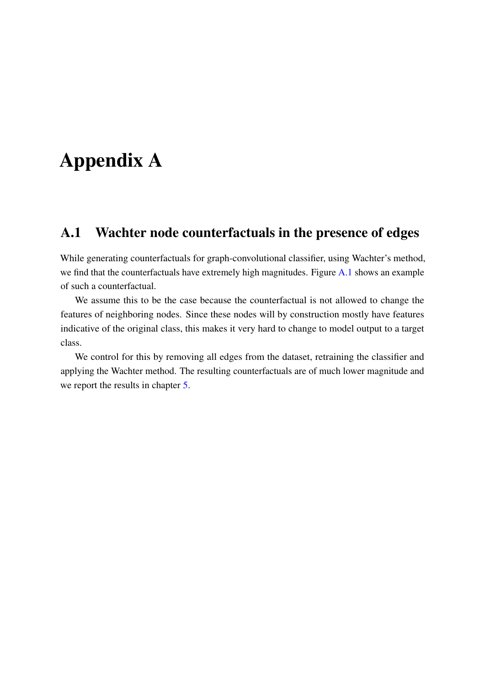## <span id="page-45-0"></span>Appendix A

## <span id="page-45-1"></span>A.1 Wachter node counterfactuals in the presence of edges

While generating counterfactuals for graph-convolutional classifier, using Wachter's method, we find that the counterfactuals have extremely high magnitudes. Figure [A.1](#page-46-0) shows an example of such a counterfactual.

We assume this to be the case because the counterfactual is not allowed to change the features of neighboring nodes. Since these nodes will by construction mostly have features indicative of the original class, this makes it very hard to change to model output to a target class.

We control for this by removing all edges from the dataset, retraining the classifier and applying the Wachter method. The resulting counterfactuals are of much lower magnitude and we report the results in chapter [5.](#page-32-0)